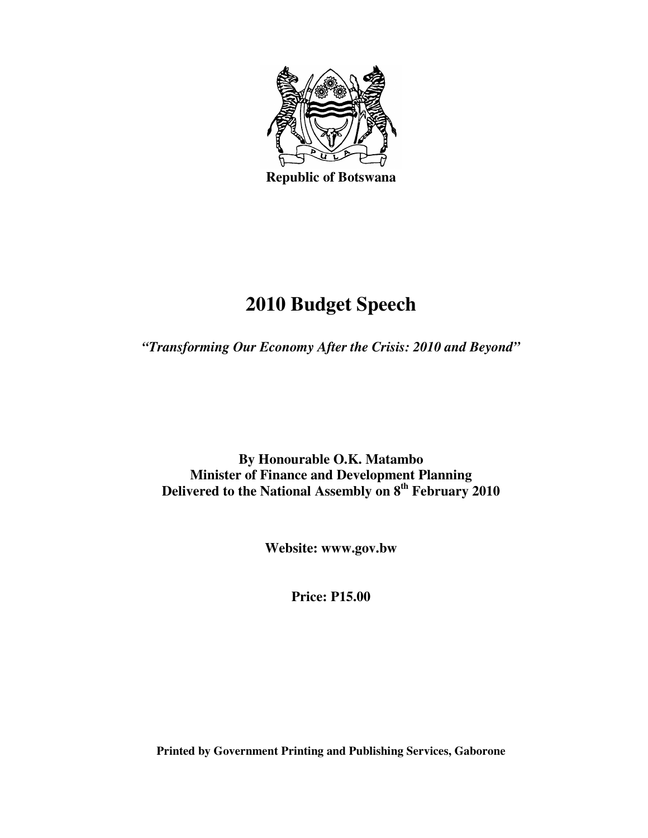

**Republic of Botswana** 

# **2010 Budget Speech**

*"Transforming Our Economy After the Crisis: 2010 and Beyond"* 

**By Honourable O.K. Matambo Minister of Finance and Development Planning Delivered to the National Assembly on 8th February 2010** 

**Website: www.gov.bw** 

**Price: P15.00** 

**Printed by Government Printing and Publishing Services, Gaborone**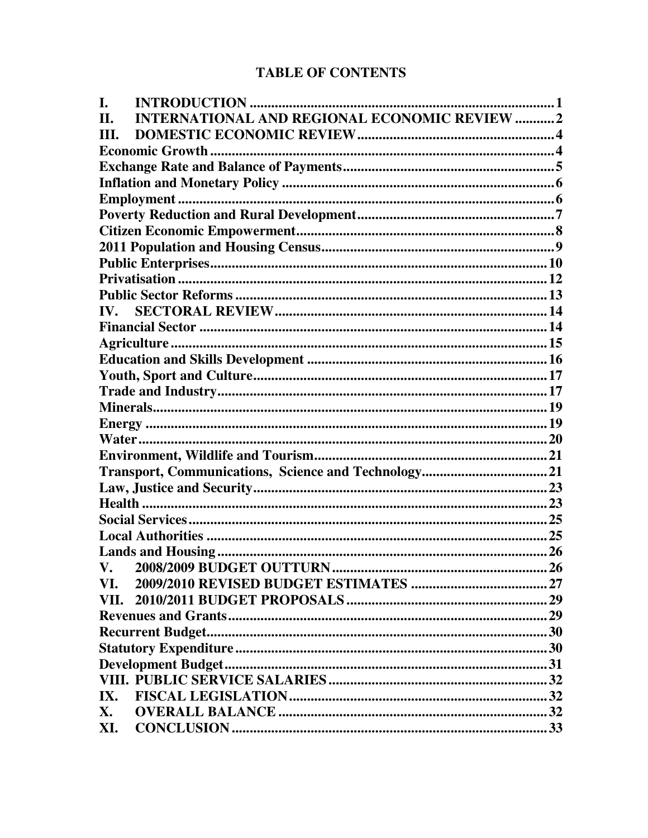# **TABLE OF CONTENTS**

| L.                                                         |  |
|------------------------------------------------------------|--|
| <b>INTERNATIONAL AND REGIONAL ECONOMIC REVIEW 2</b><br>II. |  |
| III.                                                       |  |
|                                                            |  |
|                                                            |  |
|                                                            |  |
|                                                            |  |
|                                                            |  |
|                                                            |  |
|                                                            |  |
|                                                            |  |
|                                                            |  |
|                                                            |  |
| IV.                                                        |  |
|                                                            |  |
|                                                            |  |
|                                                            |  |
|                                                            |  |
|                                                            |  |
|                                                            |  |
|                                                            |  |
|                                                            |  |
|                                                            |  |
|                                                            |  |
|                                                            |  |
|                                                            |  |
|                                                            |  |
|                                                            |  |
|                                                            |  |
| V. 2008/2009 BUDGET OUTTURN                                |  |
| VI.                                                        |  |
|                                                            |  |
|                                                            |  |
|                                                            |  |
|                                                            |  |
|                                                            |  |
|                                                            |  |
|                                                            |  |
| X.                                                         |  |
| XI.                                                        |  |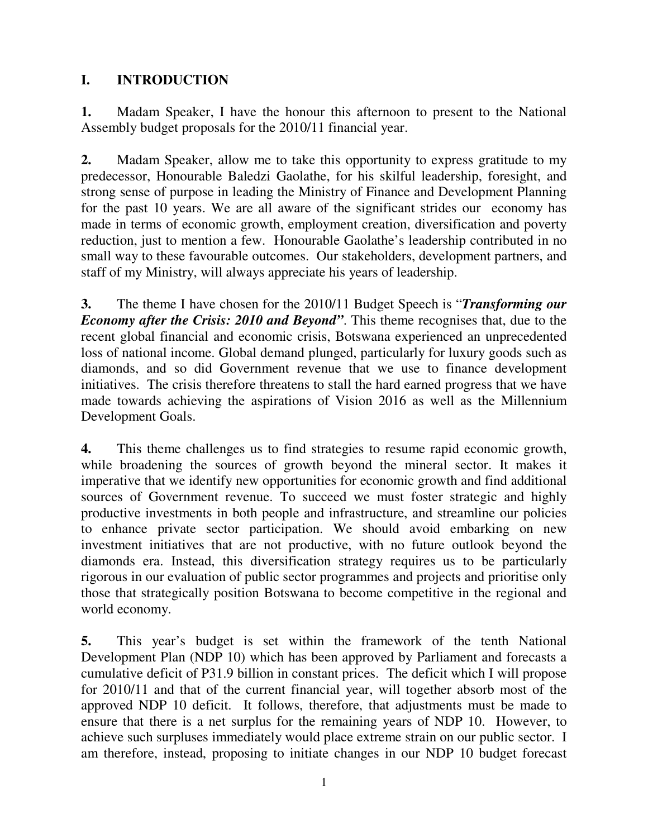# **I. INTRODUCTION**

**1.** Madam Speaker, I have the honour this afternoon to present to the National Assembly budget proposals for the 2010/11 financial year.

**2.** Madam Speaker, allow me to take this opportunity to express gratitude to my predecessor, Honourable Baledzi Gaolathe, for his skilful leadership, foresight, and strong sense of purpose in leading the Ministry of Finance and Development Planning for the past 10 years. We are all aware of the significant strides our economy has made in terms of economic growth, employment creation, diversification and poverty reduction, just to mention a few. Honourable Gaolathe's leadership contributed in no small way to these favourable outcomes. Our stakeholders, development partners, and staff of my Ministry, will always appreciate his years of leadership.

**3.** The theme I have chosen for the 2010/11 Budget Speech is "*Transforming our Economy after the Crisis: 2010 and Beyond"*. This theme recognises that, due to the recent global financial and economic crisis, Botswana experienced an unprecedented loss of national income. Global demand plunged, particularly for luxury goods such as diamonds, and so did Government revenue that we use to finance development initiatives. The crisis therefore threatens to stall the hard earned progress that we have made towards achieving the aspirations of Vision 2016 as well as the Millennium Development Goals.

**4.** This theme challenges us to find strategies to resume rapid economic growth, while broadening the sources of growth beyond the mineral sector. It makes it imperative that we identify new opportunities for economic growth and find additional sources of Government revenue. To succeed we must foster strategic and highly productive investments in both people and infrastructure, and streamline our policies to enhance private sector participation. We should avoid embarking on new investment initiatives that are not productive, with no future outlook beyond the diamonds era. Instead, this diversification strategy requires us to be particularly rigorous in our evaluation of public sector programmes and projects and prioritise only those that strategically position Botswana to become competitive in the regional and world economy.

**5.** This year's budget is set within the framework of the tenth National Development Plan (NDP 10) which has been approved by Parliament and forecasts a cumulative deficit of P31.9 billion in constant prices. The deficit which I will propose for 2010/11 and that of the current financial year, will together absorb most of the approved NDP 10 deficit. It follows, therefore, that adjustments must be made to ensure that there is a net surplus for the remaining years of NDP 10. However, to achieve such surpluses immediately would place extreme strain on our public sector. I am therefore, instead, proposing to initiate changes in our NDP 10 budget forecast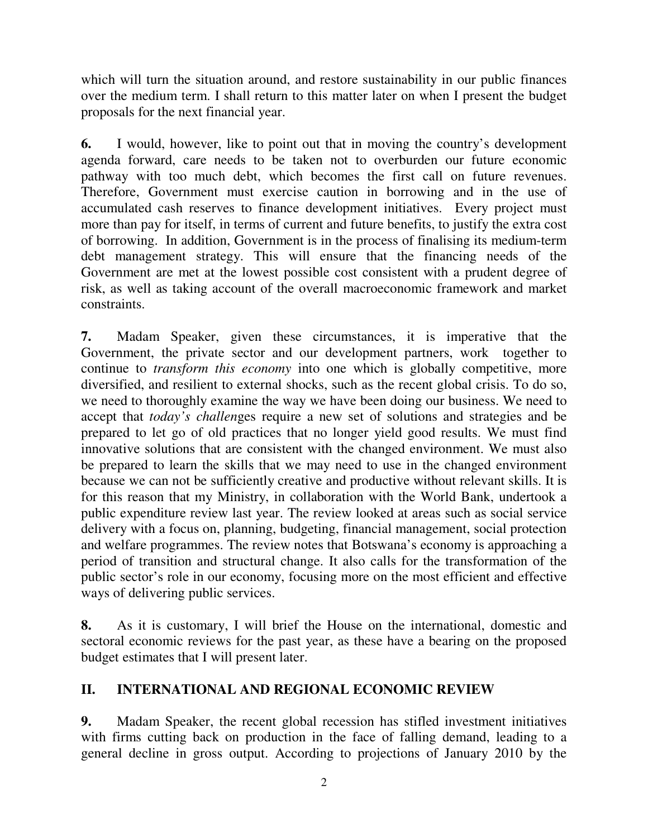which will turn the situation around, and restore sustainability in our public finances over the medium term. I shall return to this matter later on when I present the budget proposals for the next financial year.

**6.** I would, however, like to point out that in moving the country's development agenda forward, care needs to be taken not to overburden our future economic pathway with too much debt, which becomes the first call on future revenues. Therefore, Government must exercise caution in borrowing and in the use of accumulated cash reserves to finance development initiatives. Every project must more than pay for itself, in terms of current and future benefits, to justify the extra cost of borrowing. In addition, Government is in the process of finalising its medium-term debt management strategy. This will ensure that the financing needs of the Government are met at the lowest possible cost consistent with a prudent degree of risk, as well as taking account of the overall macroeconomic framework and market constraints.

**7.** Madam Speaker, given these circumstances, it is imperative that the Government, the private sector and our development partners, work together to continue to *transform this economy* into one which is globally competitive, more diversified, and resilient to external shocks, such as the recent global crisis. To do so, we need to thoroughly examine the way we have been doing our business. We need to accept that *today's challen*ges require a new set of solutions and strategies and be prepared to let go of old practices that no longer yield good results. We must find innovative solutions that are consistent with the changed environment. We must also be prepared to learn the skills that we may need to use in the changed environment because we can not be sufficiently creative and productive without relevant skills. It is for this reason that my Ministry, in collaboration with the World Bank, undertook a public expenditure review last year. The review looked at areas such as social service delivery with a focus on, planning, budgeting, financial management, social protection and welfare programmes. The review notes that Botswana's economy is approaching a period of transition and structural change. It also calls for the transformation of the public sector's role in our economy, focusing more on the most efficient and effective ways of delivering public services.

**8.** As it is customary, I will brief the House on the international, domestic and sectoral economic reviews for the past year, as these have a bearing on the proposed budget estimates that I will present later.

# **II. INTERNATIONAL AND REGIONAL ECONOMIC REVIEW**

**9.** Madam Speaker, the recent global recession has stifled investment initiatives with firms cutting back on production in the face of falling demand, leading to a general decline in gross output. According to projections of January 2010 by the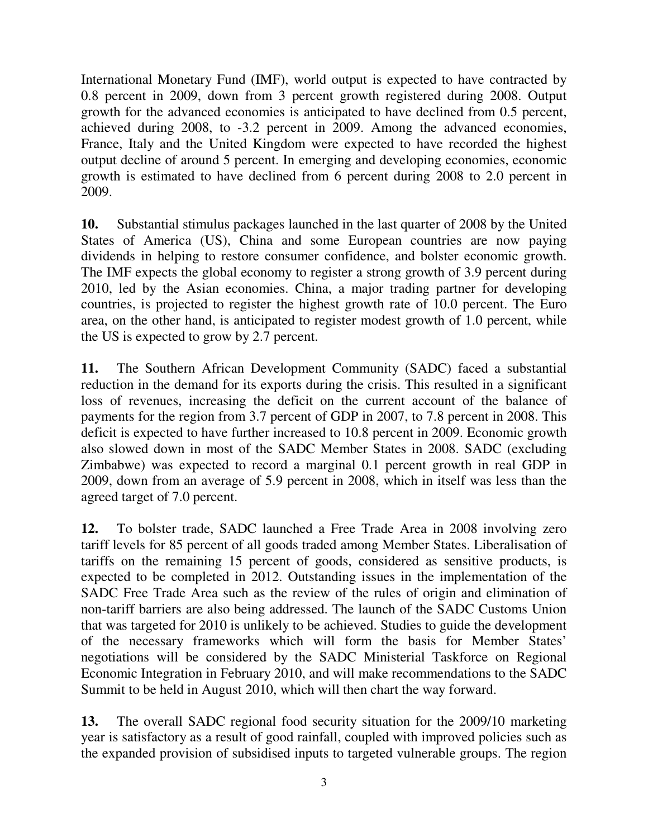International Monetary Fund (IMF), world output is expected to have contracted by 0.8 percent in 2009, down from 3 percent growth registered during 2008. Output growth for the advanced economies is anticipated to have declined from 0.5 percent, achieved during 2008, to -3.2 percent in 2009. Among the advanced economies, France, Italy and the United Kingdom were expected to have recorded the highest output decline of around 5 percent. In emerging and developing economies, economic growth is estimated to have declined from 6 percent during 2008 to 2.0 percent in 2009.

**10.** Substantial stimulus packages launched in the last quarter of 2008 by the United States of America (US), China and some European countries are now paying dividends in helping to restore consumer confidence, and bolster economic growth. The IMF expects the global economy to register a strong growth of 3.9 percent during 2010, led by the Asian economies. China, a major trading partner for developing countries, is projected to register the highest growth rate of 10.0 percent. The Euro area, on the other hand, is anticipated to register modest growth of 1.0 percent, while the US is expected to grow by 2.7 percent.

**11.** The Southern African Development Community (SADC) faced a substantial reduction in the demand for its exports during the crisis. This resulted in a significant loss of revenues, increasing the deficit on the current account of the balance of payments for the region from 3.7 percent of GDP in 2007, to 7.8 percent in 2008. This deficit is expected to have further increased to 10.8 percent in 2009. Economic growth also slowed down in most of the SADC Member States in 2008. SADC (excluding Zimbabwe) was expected to record a marginal 0.1 percent growth in real GDP in 2009, down from an average of 5.9 percent in 2008, which in itself was less than the agreed target of 7.0 percent.

**12.** To bolster trade, SADC launched a Free Trade Area in 2008 involving zero tariff levels for 85 percent of all goods traded among Member States. Liberalisation of tariffs on the remaining 15 percent of goods, considered as sensitive products, is expected to be completed in 2012. Outstanding issues in the implementation of the SADC Free Trade Area such as the review of the rules of origin and elimination of non-tariff barriers are also being addressed. The launch of the SADC Customs Union that was targeted for 2010 is unlikely to be achieved. Studies to guide the development of the necessary frameworks which will form the basis for Member States' negotiations will be considered by the SADC Ministerial Taskforce on Regional Economic Integration in February 2010, and will make recommendations to the SADC Summit to be held in August 2010, which will then chart the way forward.

**13.** The overall SADC regional food security situation for the 2009/10 marketing year is satisfactory as a result of good rainfall, coupled with improved policies such as the expanded provision of subsidised inputs to targeted vulnerable groups. The region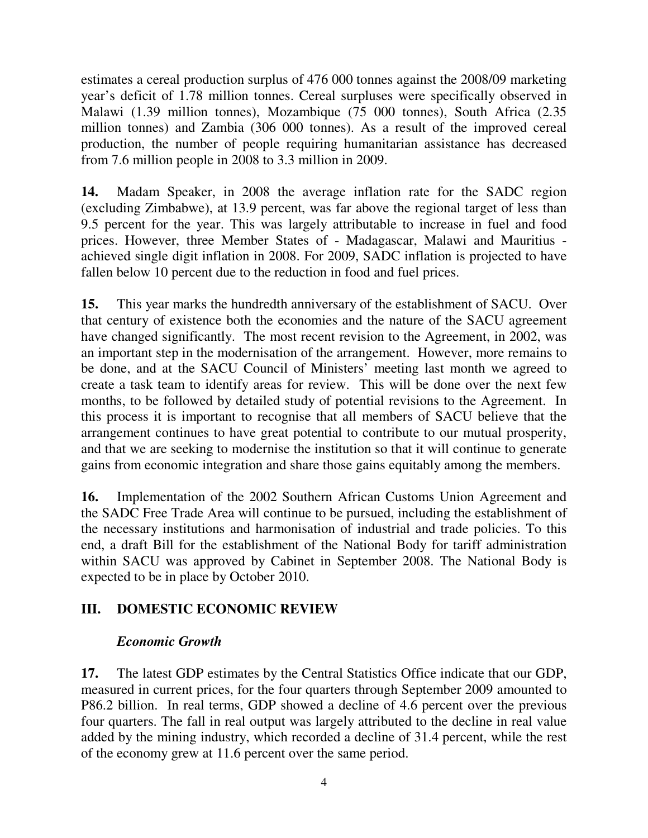estimates a cereal production surplus of 476 000 tonnes against the 2008/09 marketing year's deficit of 1.78 million tonnes. Cereal surpluses were specifically observed in Malawi (1.39 million tonnes), Mozambique (75 000 tonnes), South Africa (2.35 million tonnes) and Zambia (306 000 tonnes). As a result of the improved cereal production, the number of people requiring humanitarian assistance has decreased from 7.6 million people in 2008 to 3.3 million in 2009.

**14.** Madam Speaker, in 2008 the average inflation rate for the SADC region (excluding Zimbabwe), at 13.9 percent, was far above the regional target of less than 9.5 percent for the year. This was largely attributable to increase in fuel and food prices. However, three Member States of - Madagascar, Malawi and Mauritius achieved single digit inflation in 2008. For 2009, SADC inflation is projected to have fallen below 10 percent due to the reduction in food and fuel prices.

**15.** This year marks the hundredth anniversary of the establishment of SACU. Over that century of existence both the economies and the nature of the SACU agreement have changed significantly. The most recent revision to the Agreement, in 2002, was an important step in the modernisation of the arrangement. However, more remains to be done, and at the SACU Council of Ministers' meeting last month we agreed to create a task team to identify areas for review. This will be done over the next few months, to be followed by detailed study of potential revisions to the Agreement. In this process it is important to recognise that all members of SACU believe that the arrangement continues to have great potential to contribute to our mutual prosperity, and that we are seeking to modernise the institution so that it will continue to generate gains from economic integration and share those gains equitably among the members.

**16.** Implementation of the 2002 Southern African Customs Union Agreement and the SADC Free Trade Area will continue to be pursued, including the establishment of the necessary institutions and harmonisation of industrial and trade policies. To this end, a draft Bill for the establishment of the National Body for tariff administration within SACU was approved by Cabinet in September 2008. The National Body is expected to be in place by October 2010.

# **III. DOMESTIC ECONOMIC REVIEW**

# *Economic Growth*

**17.** The latest GDP estimates by the Central Statistics Office indicate that our GDP, measured in current prices, for the four quarters through September 2009 amounted to P86.2 billion. In real terms, GDP showed a decline of 4.6 percent over the previous four quarters. The fall in real output was largely attributed to the decline in real value added by the mining industry, which recorded a decline of 31.4 percent, while the rest of the economy grew at 11.6 percent over the same period.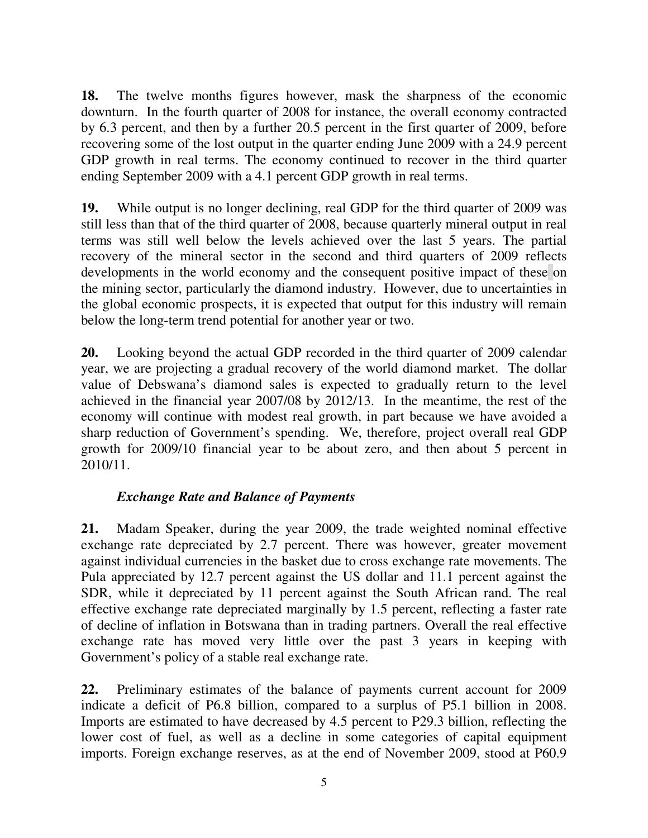**18.** The twelve months figures however, mask the sharpness of the economic downturn. In the fourth quarter of 2008 for instance, the overall economy contracted by 6.3 percent, and then by a further 20.5 percent in the first quarter of 2009, before recovering some of the lost output in the quarter ending June 2009 with a 24.9 percent GDP growth in real terms. The economy continued to recover in the third quarter ending September 2009 with a 4.1 percent GDP growth in real terms.

**19.** While output is no longer declining, real GDP for the third quarter of 2009 was still less than that of the third quarter of 2008, because quarterly mineral output in real terms was still well below the levels achieved over the last 5 years. The partial recovery of the mineral sector in the second and third quarters of 2009 reflects developments in the world economy and the consequent positive impact of these on the mining sector, particularly the diamond industry. However, due to uncertainties in the global economic prospects, it is expected that output for this industry will remain below the long-term trend potential for another year or two.

**20.** Looking beyond the actual GDP recorded in the third quarter of 2009 calendar year, we are projecting a gradual recovery of the world diamond market. The dollar value of Debswana's diamond sales is expected to gradually return to the level achieved in the financial year 2007/08 by 2012/13. In the meantime, the rest of the economy will continue with modest real growth, in part because we have avoided a sharp reduction of Government's spending. We, therefore, project overall real GDP growth for 2009/10 financial year to be about zero, and then about 5 percent in 2010/11.

# *Exchange Rate and Balance of Payments*

**21.** Madam Speaker, during the year 2009, the trade weighted nominal effective exchange rate depreciated by 2.7 percent. There was however, greater movement against individual currencies in the basket due to cross exchange rate movements. The Pula appreciated by 12.7 percent against the US dollar and 11.1 percent against the SDR, while it depreciated by 11 percent against the South African rand. The real effective exchange rate depreciated marginally by 1.5 percent, reflecting a faster rate of decline of inflation in Botswana than in trading partners. Overall the real effective exchange rate has moved very little over the past 3 years in keeping with Government's policy of a stable real exchange rate.

**22.** Preliminary estimates of the balance of payments current account for 2009 indicate a deficit of P6.8 billion, compared to a surplus of P5.1 billion in 2008. Imports are estimated to have decreased by 4.5 percent to P29.3 billion, reflecting the lower cost of fuel, as well as a decline in some categories of capital equipment imports. Foreign exchange reserves, as at the end of November 2009, stood at P60.9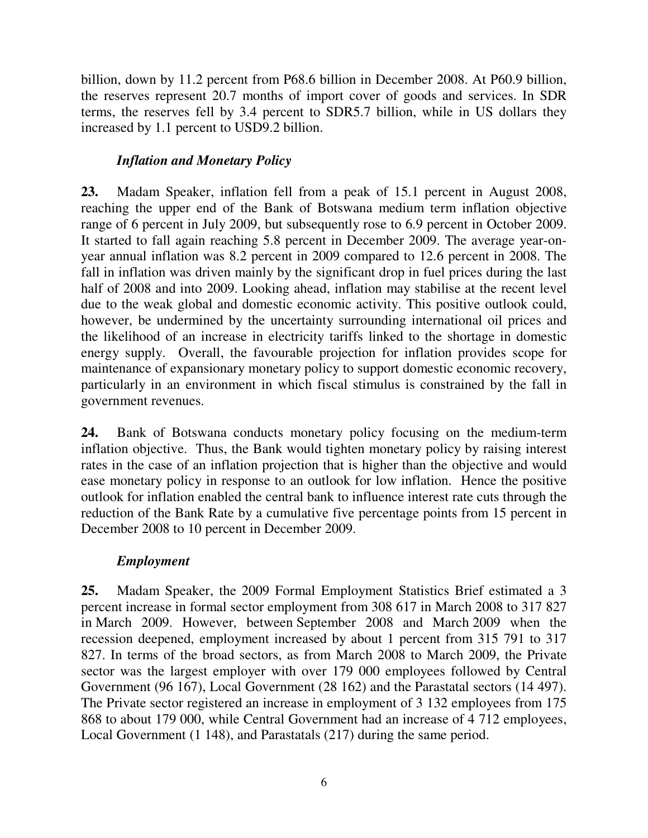billion, down by 11.2 percent from P68.6 billion in December 2008. At P60.9 billion, the reserves represent 20.7 months of import cover of goods and services. In SDR terms, the reserves fell by 3.4 percent to SDR5.7 billion, while in US dollars they increased by 1.1 percent to USD9.2 billion.

# *Inflation and Monetary Policy*

**23.** Madam Speaker, inflation fell from a peak of 15.1 percent in August 2008, reaching the upper end of the Bank of Botswana medium term inflation objective range of 6 percent in July 2009, but subsequently rose to 6.9 percent in October 2009. It started to fall again reaching 5.8 percent in December 2009. The average year-onyear annual inflation was 8.2 percent in 2009 compared to 12.6 percent in 2008. The fall in inflation was driven mainly by the significant drop in fuel prices during the last half of 2008 and into 2009. Looking ahead, inflation may stabilise at the recent level due to the weak global and domestic economic activity. This positive outlook could, however, be undermined by the uncertainty surrounding international oil prices and the likelihood of an increase in electricity tariffs linked to the shortage in domestic energy supply. Overall, the favourable projection for inflation provides scope for maintenance of expansionary monetary policy to support domestic economic recovery, particularly in an environment in which fiscal stimulus is constrained by the fall in government revenues.

**24.** Bank of Botswana conducts monetary policy focusing on the medium-term inflation objective. Thus, the Bank would tighten monetary policy by raising interest rates in the case of an inflation projection that is higher than the objective and would ease monetary policy in response to an outlook for low inflation. Hence the positive outlook for inflation enabled the central bank to influence interest rate cuts through the reduction of the Bank Rate by a cumulative five percentage points from 15 percent in December 2008 to 10 percent in December 2009.

#### *Employment*

**25.** Madam Speaker, the 2009 Formal Employment Statistics Brief estimated a 3 percent increase in formal sector employment from 308 617 in March 2008 to 317 827 in March 2009. However, between September 2008 and March 2009 when the recession deepened, employment increased by about 1 percent from 315 791 to 317 827. In terms of the broad sectors, as from March 2008 to March 2009, the Private sector was the largest employer with over 179 000 employees followed by Central Government (96 167), Local Government (28 162) and the Parastatal sectors (14 497). The Private sector registered an increase in employment of 3 132 employees from 175 868 to about 179 000, while Central Government had an increase of 4 712 employees, Local Government (1 148), and Parastatals (217) during the same period.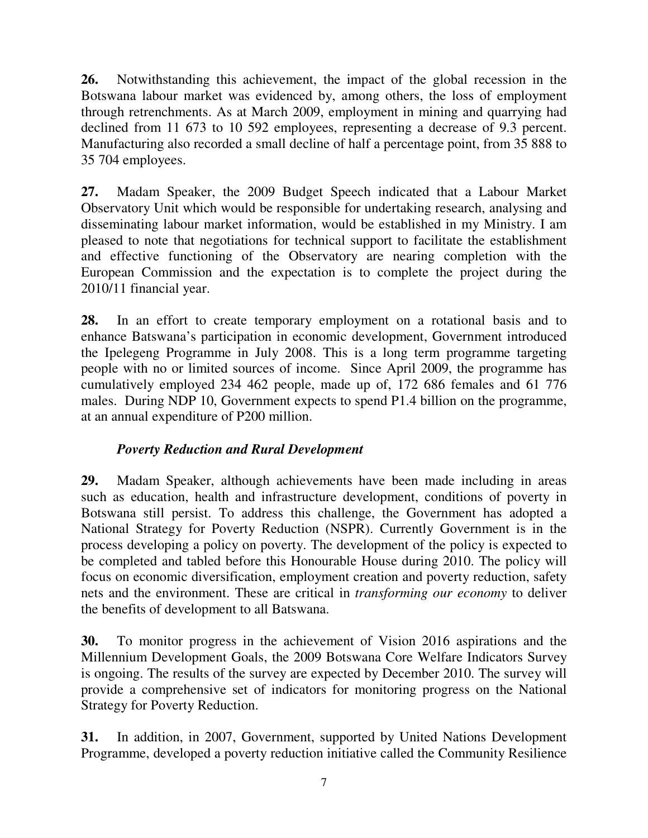**26.** Notwithstanding this achievement, the impact of the global recession in the Botswana labour market was evidenced by, among others, the loss of employment through retrenchments. As at March 2009, employment in mining and quarrying had declined from 11 673 to 10 592 employees, representing a decrease of 9.3 percent. Manufacturing also recorded a small decline of half a percentage point, from 35 888 to 35 704 employees.

**27.** Madam Speaker, the 2009 Budget Speech indicated that a Labour Market Observatory Unit which would be responsible for undertaking research, analysing and disseminating labour market information, would be established in my Ministry. I am pleased to note that negotiations for technical support to facilitate the establishment and effective functioning of the Observatory are nearing completion with the European Commission and the expectation is to complete the project during the 2010/11 financial year.

**28.** In an effort to create temporary employment on a rotational basis and to enhance Batswana's participation in economic development, Government introduced the Ipelegeng Programme in July 2008. This is a long term programme targeting people with no or limited sources of income. Since April 2009, the programme has cumulatively employed 234 462 people, made up of, 172 686 females and 61 776 males. During NDP 10, Government expects to spend P1.4 billion on the programme, at an annual expenditure of P200 million.

# *Poverty Reduction and Rural Development*

**29.** Madam Speaker, although achievements have been made including in areas such as education, health and infrastructure development, conditions of poverty in Botswana still persist. To address this challenge, the Government has adopted a National Strategy for Poverty Reduction (NSPR). Currently Government is in the process developing a policy on poverty. The development of the policy is expected to be completed and tabled before this Honourable House during 2010. The policy will focus on economic diversification, employment creation and poverty reduction, safety nets and the environment. These are critical in *transforming our economy* to deliver the benefits of development to all Batswana.

**30.** To monitor progress in the achievement of Vision 2016 aspirations and the Millennium Development Goals, the 2009 Botswana Core Welfare Indicators Survey is ongoing. The results of the survey are expected by December 2010. The survey will provide a comprehensive set of indicators for monitoring progress on the National Strategy for Poverty Reduction.

**31.** In addition, in 2007, Government, supported by United Nations Development Programme, developed a poverty reduction initiative called the Community Resilience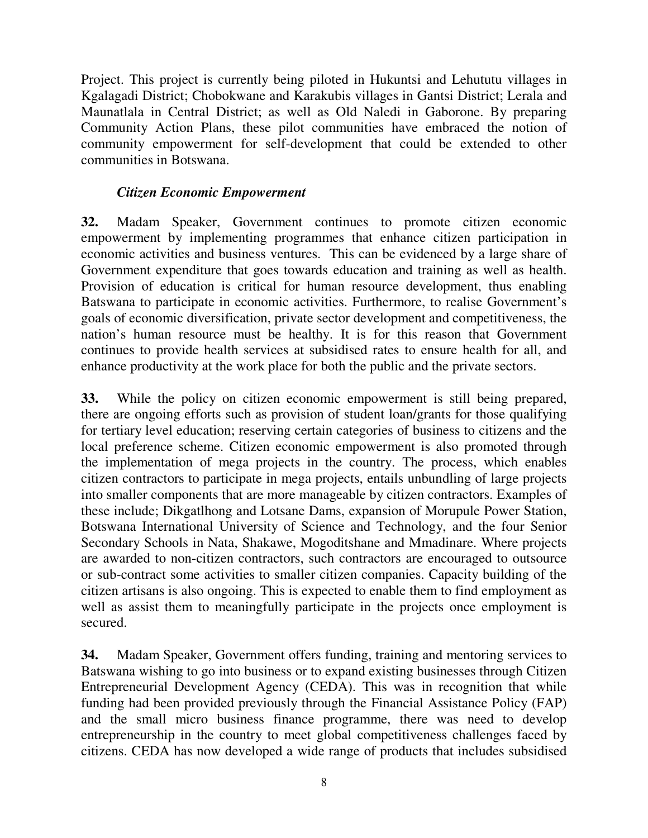Project. This project is currently being piloted in Hukuntsi and Lehututu villages in Kgalagadi District; Chobokwane and Karakubis villages in Gantsi District; Lerala and Maunatlala in Central District; as well as Old Naledi in Gaborone. By preparing Community Action Plans, these pilot communities have embraced the notion of community empowerment for self-development that could be extended to other communities in Botswana.

#### *Citizen Economic Empowerment*

**32.** Madam Speaker, Government continues to promote citizen economic empowerment by implementing programmes that enhance citizen participation in economic activities and business ventures. This can be evidenced by a large share of Government expenditure that goes towards education and training as well as health. Provision of education is critical for human resource development, thus enabling Batswana to participate in economic activities. Furthermore, to realise Government's goals of economic diversification, private sector development and competitiveness, the nation's human resource must be healthy. It is for this reason that Government continues to provide health services at subsidised rates to ensure health for all, and enhance productivity at the work place for both the public and the private sectors.

**33.** While the policy on citizen economic empowerment is still being prepared, there are ongoing efforts such as provision of student loan/grants for those qualifying for tertiary level education; reserving certain categories of business to citizens and the local preference scheme. Citizen economic empowerment is also promoted through the implementation of mega projects in the country. The process, which enables citizen contractors to participate in mega projects, entails unbundling of large projects into smaller components that are more manageable by citizen contractors. Examples of these include; Dikgatlhong and Lotsane Dams, expansion of Morupule Power Station, Botswana International University of Science and Technology, and the four Senior Secondary Schools in Nata, Shakawe, Mogoditshane and Mmadinare. Where projects are awarded to non-citizen contractors, such contractors are encouraged to outsource or sub-contract some activities to smaller citizen companies. Capacity building of the citizen artisans is also ongoing. This is expected to enable them to find employment as well as assist them to meaningfully participate in the projects once employment is secured.

**34.** Madam Speaker, Government offers funding, training and mentoring services to Batswana wishing to go into business or to expand existing businesses through Citizen Entrepreneurial Development Agency (CEDA). This was in recognition that while funding had been provided previously through the Financial Assistance Policy (FAP) and the small micro business finance programme, there was need to develop entrepreneurship in the country to meet global competitiveness challenges faced by citizens. CEDA has now developed a wide range of products that includes subsidised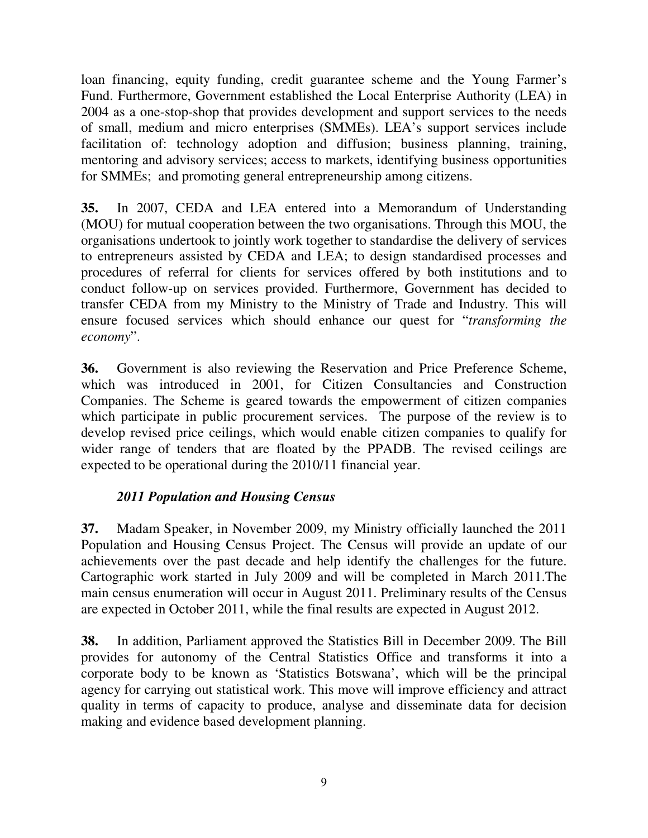loan financing, equity funding, credit guarantee scheme and the Young Farmer's Fund. Furthermore, Government established the Local Enterprise Authority (LEA) in 2004 as a one-stop-shop that provides development and support services to the needs of small, medium and micro enterprises (SMMEs). LEA's support services include facilitation of: technology adoption and diffusion; business planning, training, mentoring and advisory services; access to markets, identifying business opportunities for SMMEs; and promoting general entrepreneurship among citizens.

**35.** In 2007, CEDA and LEA entered into a Memorandum of Understanding (MOU) for mutual cooperation between the two organisations. Through this MOU, the organisations undertook to jointly work together to standardise the delivery of services to entrepreneurs assisted by CEDA and LEA; to design standardised processes and procedures of referral for clients for services offered by both institutions and to conduct follow-up on services provided. Furthermore, Government has decided to transfer CEDA from my Ministry to the Ministry of Trade and Industry. This will ensure focused services which should enhance our quest for "*transforming the economy*".

**36.** Government is also reviewing the Reservation and Price Preference Scheme, which was introduced in 2001, for Citizen Consultancies and Construction Companies. The Scheme is geared towards the empowerment of citizen companies which participate in public procurement services. The purpose of the review is to develop revised price ceilings, which would enable citizen companies to qualify for wider range of tenders that are floated by the PPADB. The revised ceilings are expected to be operational during the 2010/11 financial year.

#### *2011 Population and Housing Census*

**37.** Madam Speaker, in November 2009, my Ministry officially launched the 2011 Population and Housing Census Project. The Census will provide an update of our achievements over the past decade and help identify the challenges for the future. Cartographic work started in July 2009 and will be completed in March 2011.The main census enumeration will occur in August 2011. Preliminary results of the Census are expected in October 2011, while the final results are expected in August 2012.

**38.** In addition, Parliament approved the Statistics Bill in December 2009. The Bill provides for autonomy of the Central Statistics Office and transforms it into a corporate body to be known as 'Statistics Botswana', which will be the principal agency for carrying out statistical work. This move will improve efficiency and attract quality in terms of capacity to produce, analyse and disseminate data for decision making and evidence based development planning.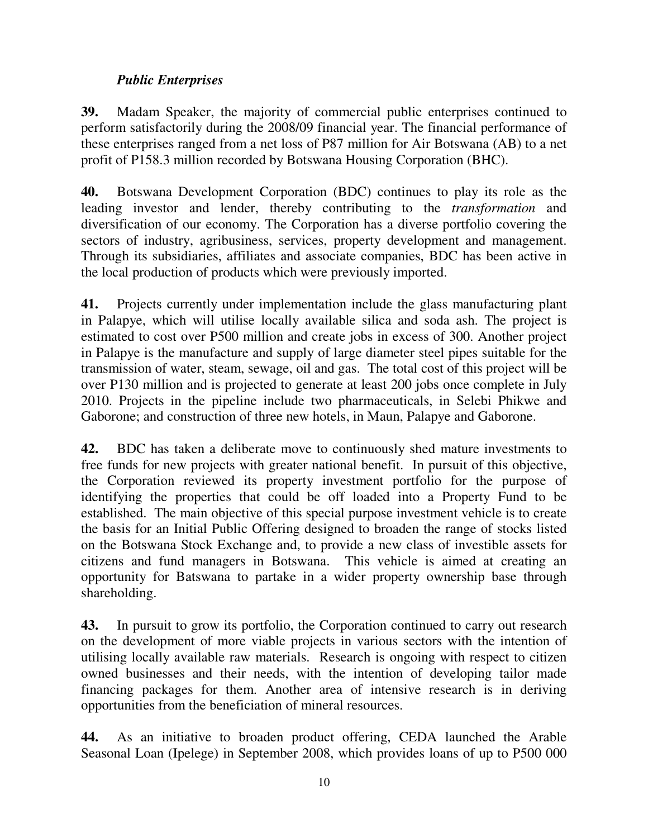# *Public Enterprises*

**39.** Madam Speaker, the majority of commercial public enterprises continued to perform satisfactorily during the 2008/09 financial year. The financial performance of these enterprises ranged from a net loss of P87 million for Air Botswana (AB) to a net profit of P158.3 million recorded by Botswana Housing Corporation (BHC).

**40.** Botswana Development Corporation (BDC) continues to play its role as the leading investor and lender, thereby contributing to the *transformation* and diversification of our economy. The Corporation has a diverse portfolio covering the sectors of industry, agribusiness, services, property development and management. Through its subsidiaries, affiliates and associate companies, BDC has been active in the local production of products which were previously imported.

**41.** Projects currently under implementation include the glass manufacturing plant in Palapye, which will utilise locally available silica and soda ash. The project is estimated to cost over P500 million and create jobs in excess of 300. Another project in Palapye is the manufacture and supply of large diameter steel pipes suitable for the transmission of water, steam, sewage, oil and gas. The total cost of this project will be over P130 million and is projected to generate at least 200 jobs once complete in July 2010. Projects in the pipeline include two pharmaceuticals, in Selebi Phikwe and Gaborone; and construction of three new hotels, in Maun, Palapye and Gaborone.

**42.** BDC has taken a deliberate move to continuously shed mature investments to free funds for new projects with greater national benefit. In pursuit of this objective, the Corporation reviewed its property investment portfolio for the purpose of identifying the properties that could be off loaded into a Property Fund to be established. The main objective of this special purpose investment vehicle is to create the basis for an Initial Public Offering designed to broaden the range of stocks listed on the Botswana Stock Exchange and, to provide a new class of investible assets for citizens and fund managers in Botswana. This vehicle is aimed at creating an opportunity for Batswana to partake in a wider property ownership base through shareholding.

**43.** In pursuit to grow its portfolio, the Corporation continued to carry out research on the development of more viable projects in various sectors with the intention of utilising locally available raw materials. Research is ongoing with respect to citizen owned businesses and their needs, with the intention of developing tailor made financing packages for them. Another area of intensive research is in deriving opportunities from the beneficiation of mineral resources.

**44.** As an initiative to broaden product offering, CEDA launched the Arable Seasonal Loan (Ipelege) in September 2008, which provides loans of up to P500 000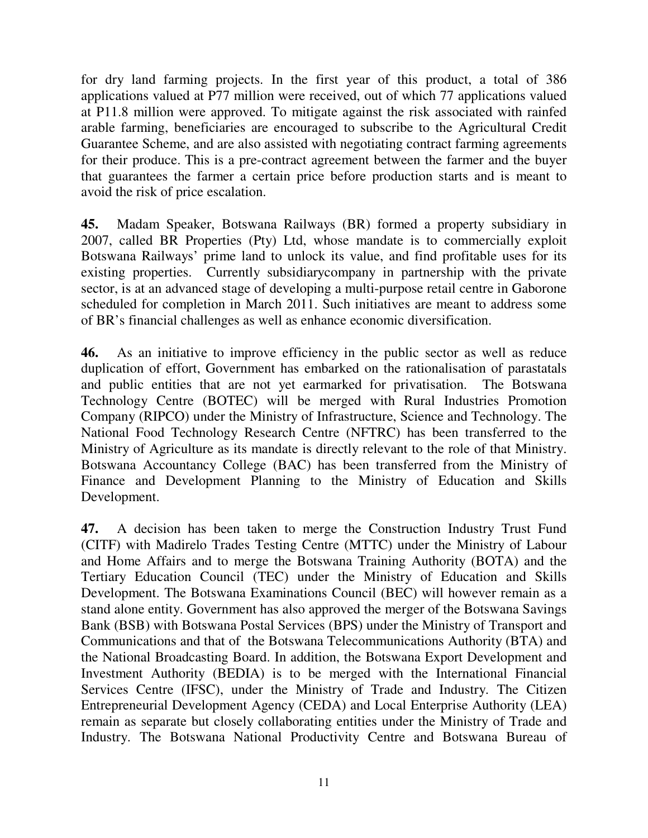for dry land farming projects. In the first year of this product, a total of 386 applications valued at P77 million were received, out of which 77 applications valued at P11.8 million were approved. To mitigate against the risk associated with rainfed arable farming, beneficiaries are encouraged to subscribe to the Agricultural Credit Guarantee Scheme, and are also assisted with negotiating contract farming agreements for their produce. This is a pre-contract agreement between the farmer and the buyer that guarantees the farmer a certain price before production starts and is meant to avoid the risk of price escalation.

**45.** Madam Speaker, Botswana Railways (BR) formed a property subsidiary in 2007, called BR Properties (Pty) Ltd, whose mandate is to commercially exploit Botswana Railways' prime land to unlock its value, and find profitable uses for its existing properties. Currently subsidiarycompany in partnership with the private sector, is at an advanced stage of developing a multi-purpose retail centre in Gaborone scheduled for completion in March 2011. Such initiatives are meant to address some of BR's financial challenges as well as enhance economic diversification.

**46.** As an initiative to improve efficiency in the public sector as well as reduce duplication of effort, Government has embarked on the rationalisation of parastatals and public entities that are not yet earmarked for privatisation. The Botswana Technology Centre (BOTEC) will be merged with Rural Industries Promotion Company (RIPCO) under the Ministry of Infrastructure, Science and Technology. The National Food Technology Research Centre (NFTRC) has been transferred to the Ministry of Agriculture as its mandate is directly relevant to the role of that Ministry. Botswana Accountancy College (BAC) has been transferred from the Ministry of Finance and Development Planning to the Ministry of Education and Skills Development.

**47.** A decision has been taken to merge the Construction Industry Trust Fund (CITF) with Madirelo Trades Testing Centre (MTTC) under the Ministry of Labour and Home Affairs and to merge the Botswana Training Authority (BOTA) and the Tertiary Education Council (TEC) under the Ministry of Education and Skills Development. The Botswana Examinations Council (BEC) will however remain as a stand alone entity. Government has also approved the merger of the Botswana Savings Bank (BSB) with Botswana Postal Services (BPS) under the Ministry of Transport and Communications and that of the Botswana Telecommunications Authority (BTA) and the National Broadcasting Board. In addition, the Botswana Export Development and Investment Authority (BEDIA) is to be merged with the International Financial Services Centre (IFSC), under the Ministry of Trade and Industry. The Citizen Entrepreneurial Development Agency (CEDA) and Local Enterprise Authority (LEA) remain as separate but closely collaborating entities under the Ministry of Trade and Industry. The Botswana National Productivity Centre and Botswana Bureau of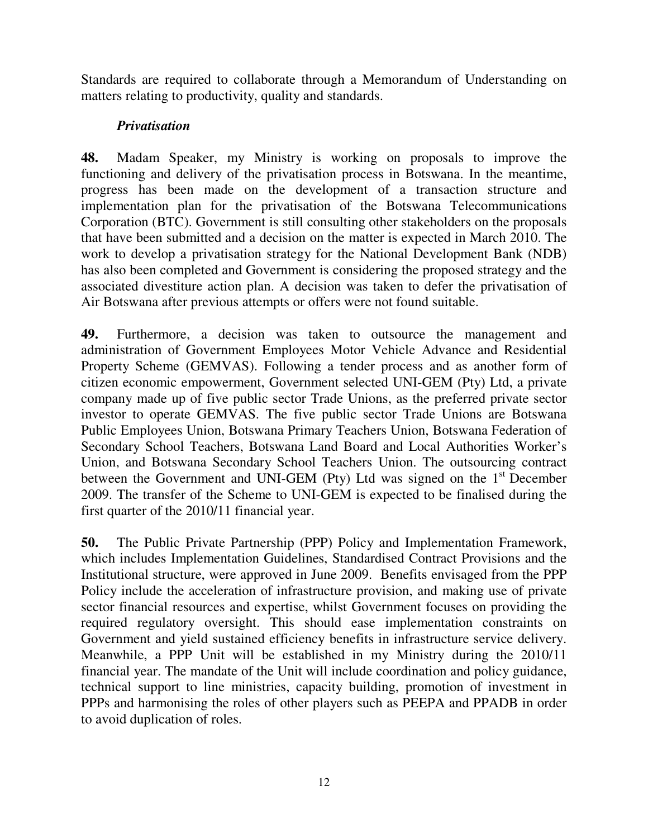Standards are required to collaborate through a Memorandum of Understanding on matters relating to productivity, quality and standards.

## *Privatisation*

**48.** Madam Speaker, my Ministry is working on proposals to improve the functioning and delivery of the privatisation process in Botswana. In the meantime, progress has been made on the development of a transaction structure and implementation plan for the privatisation of the Botswana Telecommunications Corporation (BTC). Government is still consulting other stakeholders on the proposals that have been submitted and a decision on the matter is expected in March 2010. The work to develop a privatisation strategy for the National Development Bank (NDB) has also been completed and Government is considering the proposed strategy and the associated divestiture action plan. A decision was taken to defer the privatisation of Air Botswana after previous attempts or offers were not found suitable.

**49.** Furthermore, a decision was taken to outsource the management and administration of Government Employees Motor Vehicle Advance and Residential Property Scheme (GEMVAS). Following a tender process and as another form of citizen economic empowerment, Government selected UNI-GEM (Pty) Ltd, a private company made up of five public sector Trade Unions, as the preferred private sector investor to operate GEMVAS. The five public sector Trade Unions are Botswana Public Employees Union, Botswana Primary Teachers Union, Botswana Federation of Secondary School Teachers, Botswana Land Board and Local Authorities Worker's Union, and Botswana Secondary School Teachers Union. The outsourcing contract between the Government and UNI-GEM (Pty) Ltd was signed on the  $1<sup>st</sup>$  December 2009. The transfer of the Scheme to UNI-GEM is expected to be finalised during the first quarter of the 2010/11 financial year.

**50.** The Public Private Partnership (PPP) Policy and Implementation Framework, which includes Implementation Guidelines, Standardised Contract Provisions and the Institutional structure, were approved in June 2009. Benefits envisaged from the PPP Policy include the acceleration of infrastructure provision, and making use of private sector financial resources and expertise, whilst Government focuses on providing the required regulatory oversight. This should ease implementation constraints on Government and yield sustained efficiency benefits in infrastructure service delivery. Meanwhile, a PPP Unit will be established in my Ministry during the 2010/11 financial year. The mandate of the Unit will include coordination and policy guidance, technical support to line ministries, capacity building, promotion of investment in PPPs and harmonising the roles of other players such as PEEPA and PPADB in order to avoid duplication of roles.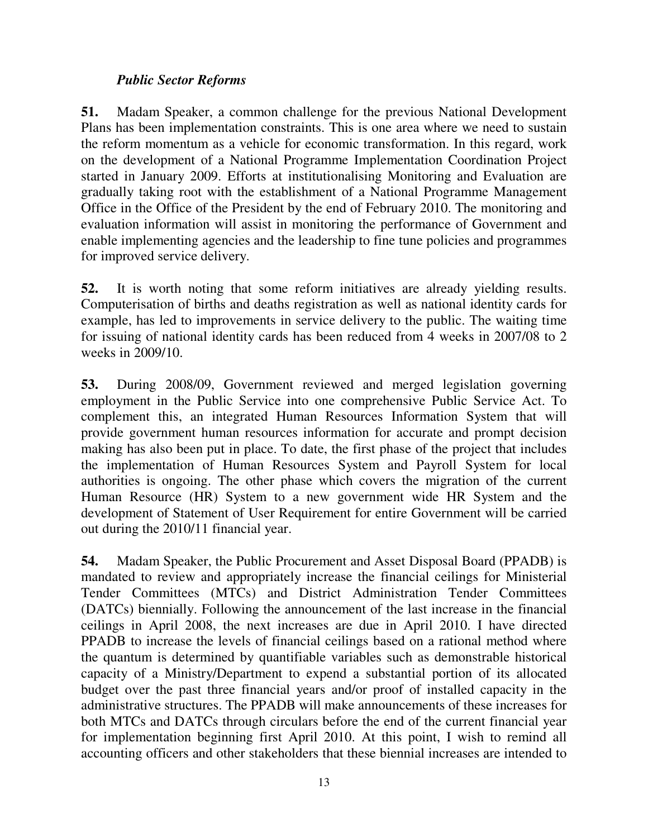## *Public Sector Reforms*

**51.** Madam Speaker, a common challenge for the previous National Development Plans has been implementation constraints. This is one area where we need to sustain the reform momentum as a vehicle for economic transformation. In this regard, work on the development of a National Programme Implementation Coordination Project started in January 2009. Efforts at institutionalising Monitoring and Evaluation are gradually taking root with the establishment of a National Programme Management Office in the Office of the President by the end of February 2010. The monitoring and evaluation information will assist in monitoring the performance of Government and enable implementing agencies and the leadership to fine tune policies and programmes for improved service delivery.

**52.** It is worth noting that some reform initiatives are already yielding results. Computerisation of births and deaths registration as well as national identity cards for example, has led to improvements in service delivery to the public. The waiting time for issuing of national identity cards has been reduced from 4 weeks in 2007/08 to 2 weeks in 2009/10.

**53.** During 2008/09, Government reviewed and merged legislation governing employment in the Public Service into one comprehensive Public Service Act. To complement this, an integrated Human Resources Information System that will provide government human resources information for accurate and prompt decision making has also been put in place. To date, the first phase of the project that includes the implementation of Human Resources System and Payroll System for local authorities is ongoing. The other phase which covers the migration of the current Human Resource (HR) System to a new government wide HR System and the development of Statement of User Requirement for entire Government will be carried out during the 2010/11 financial year.

**54.** Madam Speaker, the Public Procurement and Asset Disposal Board (PPADB) is mandated to review and appropriately increase the financial ceilings for Ministerial Tender Committees (MTCs) and District Administration Tender Committees (DATCs) biennially. Following the announcement of the last increase in the financial ceilings in April 2008, the next increases are due in April 2010. I have directed PPADB to increase the levels of financial ceilings based on a rational method where the quantum is determined by quantifiable variables such as demonstrable historical capacity of a Ministry/Department to expend a substantial portion of its allocated budget over the past three financial years and/or proof of installed capacity in the administrative structures. The PPADB will make announcements of these increases for both MTCs and DATCs through circulars before the end of the current financial year for implementation beginning first April 2010. At this point, I wish to remind all accounting officers and other stakeholders that these biennial increases are intended to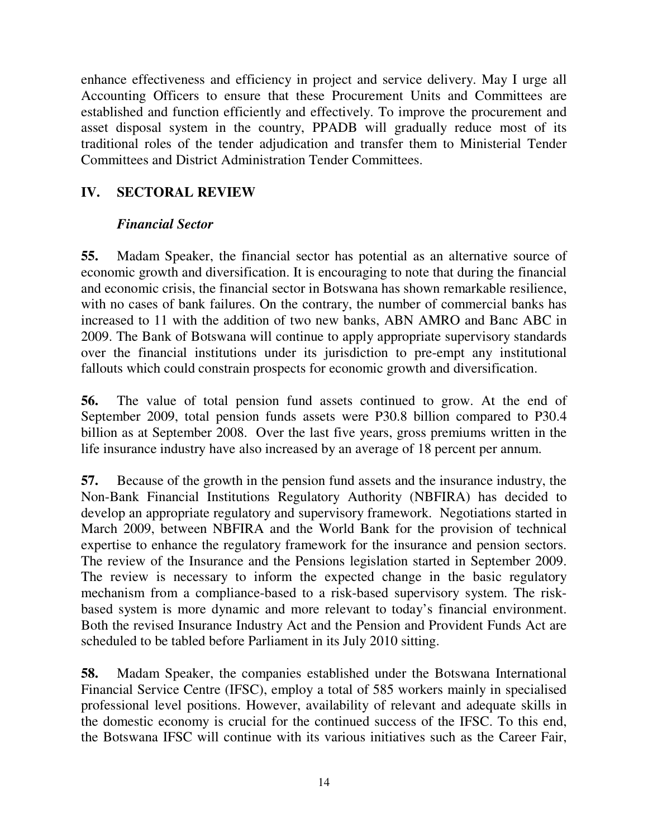enhance effectiveness and efficiency in project and service delivery. May I urge all Accounting Officers to ensure that these Procurement Units and Committees are established and function efficiently and effectively. To improve the procurement and asset disposal system in the country, PPADB will gradually reduce most of its traditional roles of the tender adjudication and transfer them to Ministerial Tender Committees and District Administration Tender Committees.

# **IV. SECTORAL REVIEW**

# *Financial Sector*

**55.** Madam Speaker, the financial sector has potential as an alternative source of economic growth and diversification. It is encouraging to note that during the financial and economic crisis, the financial sector in Botswana has shown remarkable resilience, with no cases of bank failures. On the contrary, the number of commercial banks has increased to 11 with the addition of two new banks, ABN AMRO and Banc ABC in 2009. The Bank of Botswana will continue to apply appropriate supervisory standards over the financial institutions under its jurisdiction to pre-empt any institutional fallouts which could constrain prospects for economic growth and diversification.

**56.** The value of total pension fund assets continued to grow. At the end of September 2009, total pension funds assets were P30.8 billion compared to P30.4 billion as at September 2008. Over the last five years, gross premiums written in the life insurance industry have also increased by an average of 18 percent per annum.

**57.** Because of the growth in the pension fund assets and the insurance industry, the Non-Bank Financial Institutions Regulatory Authority (NBFIRA) has decided to develop an appropriate regulatory and supervisory framework. Negotiations started in March 2009, between NBFIRA and the World Bank for the provision of technical expertise to enhance the regulatory framework for the insurance and pension sectors. The review of the Insurance and the Pensions legislation started in September 2009. The review is necessary to inform the expected change in the basic regulatory mechanism from a compliance-based to a risk-based supervisory system. The riskbased system is more dynamic and more relevant to today's financial environment. Both the revised Insurance Industry Act and the Pension and Provident Funds Act are scheduled to be tabled before Parliament in its July 2010 sitting.

**58.** Madam Speaker, the companies established under the Botswana International Financial Service Centre (IFSC), employ a total of 585 workers mainly in specialised professional level positions. However, availability of relevant and adequate skills in the domestic economy is crucial for the continued success of the IFSC. To this end, the Botswana IFSC will continue with its various initiatives such as the Career Fair,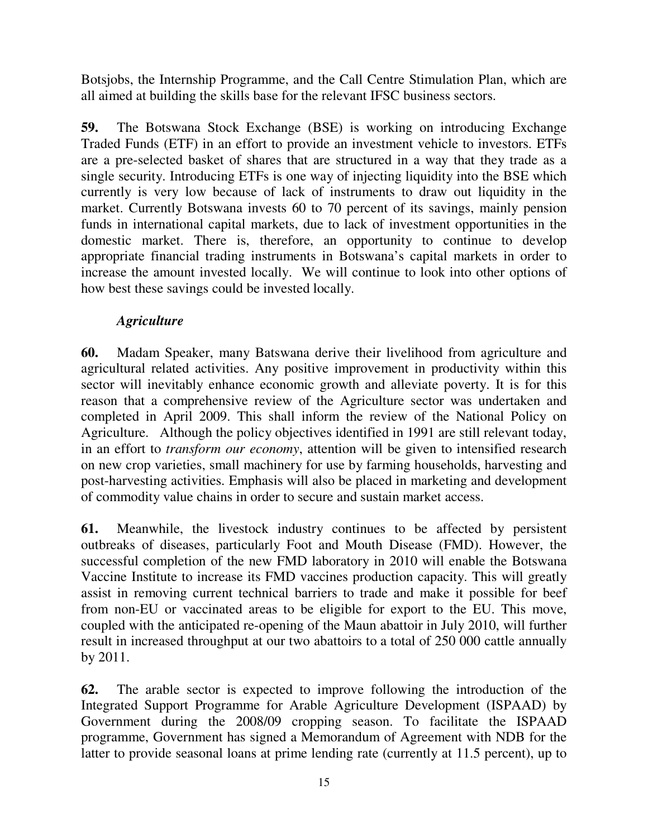Botsjobs, the Internship Programme, and the Call Centre Stimulation Plan, which are all aimed at building the skills base for the relevant IFSC business sectors.

**59.** The Botswana Stock Exchange (BSE) is working on introducing Exchange Traded Funds (ETF) in an effort to provide an investment vehicle to investors. ETFs are a pre-selected basket of shares that are structured in a way that they trade as a single security. Introducing ETFs is one way of injecting liquidity into the BSE which currently is very low because of lack of instruments to draw out liquidity in the market. Currently Botswana invests 60 to 70 percent of its savings, mainly pension funds in international capital markets, due to lack of investment opportunities in the domestic market. There is, therefore, an opportunity to continue to develop appropriate financial trading instruments in Botswana's capital markets in order to increase the amount invested locally. We will continue to look into other options of how best these savings could be invested locally.

## *Agriculture*

**60.** Madam Speaker, many Batswana derive their livelihood from agriculture and agricultural related activities. Any positive improvement in productivity within this sector will inevitably enhance economic growth and alleviate poverty. It is for this reason that a comprehensive review of the Agriculture sector was undertaken and completed in April 2009. This shall inform the review of the National Policy on Agriculture. Although the policy objectives identified in 1991 are still relevant today, in an effort to *transform our economy*, attention will be given to intensified research on new crop varieties, small machinery for use by farming households, harvesting and post-harvesting activities. Emphasis will also be placed in marketing and development of commodity value chains in order to secure and sustain market access.

**61.** Meanwhile, the livestock industry continues to be affected by persistent outbreaks of diseases, particularly Foot and Mouth Disease (FMD). However, the successful completion of the new FMD laboratory in 2010 will enable the Botswana Vaccine Institute to increase its FMD vaccines production capacity. This will greatly assist in removing current technical barriers to trade and make it possible for beef from non-EU or vaccinated areas to be eligible for export to the EU. This move, coupled with the anticipated re-opening of the Maun abattoir in July 2010, will further result in increased throughput at our two abattoirs to a total of 250 000 cattle annually by 2011.

**62.** The arable sector is expected to improve following the introduction of the Integrated Support Programme for Arable Agriculture Development (ISPAAD) by Government during the 2008/09 cropping season. To facilitate the ISPAAD programme, Government has signed a Memorandum of Agreement with NDB for the latter to provide seasonal loans at prime lending rate (currently at 11.5 percent), up to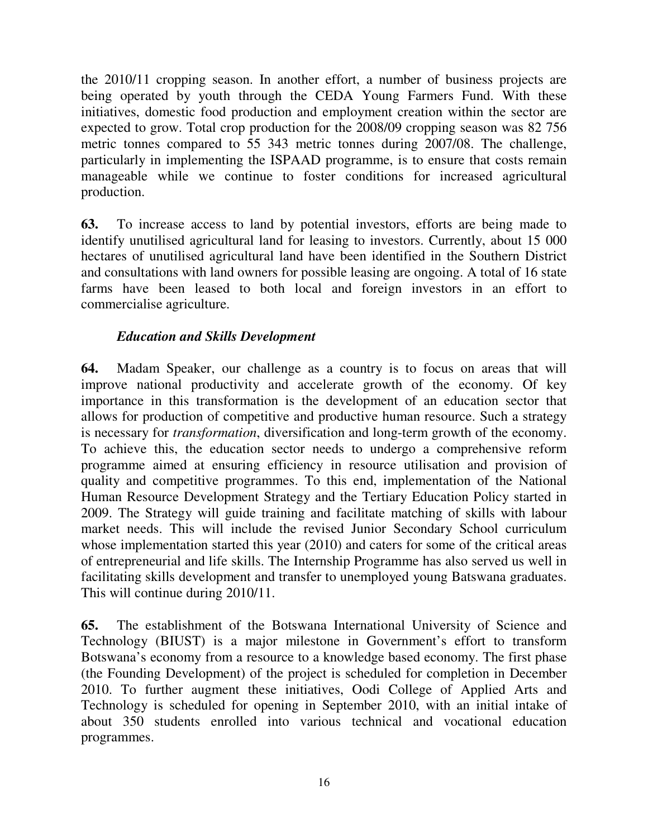the 2010/11 cropping season. In another effort, a number of business projects are being operated by youth through the CEDA Young Farmers Fund. With these initiatives, domestic food production and employment creation within the sector are expected to grow. Total crop production for the 2008/09 cropping season was 82 756 metric tonnes compared to 55 343 metric tonnes during 2007/08. The challenge, particularly in implementing the ISPAAD programme, is to ensure that costs remain manageable while we continue to foster conditions for increased agricultural production.

**63.** To increase access to land by potential investors, efforts are being made to identify unutilised agricultural land for leasing to investors. Currently, about 15 000 hectares of unutilised agricultural land have been identified in the Southern District and consultations with land owners for possible leasing are ongoing. A total of 16 state farms have been leased to both local and foreign investors in an effort to commercialise agriculture.

## *Education and Skills Development*

**64.** Madam Speaker, our challenge as a country is to focus on areas that will improve national productivity and accelerate growth of the economy. Of key importance in this transformation is the development of an education sector that allows for production of competitive and productive human resource. Such a strategy is necessary for *transformation*, diversification and long-term growth of the economy. To achieve this, the education sector needs to undergo a comprehensive reform programme aimed at ensuring efficiency in resource utilisation and provision of quality and competitive programmes. To this end, implementation of the National Human Resource Development Strategy and the Tertiary Education Policy started in 2009. The Strategy will guide training and facilitate matching of skills with labour market needs. This will include the revised Junior Secondary School curriculum whose implementation started this year (2010) and caters for some of the critical areas of entrepreneurial and life skills. The Internship Programme has also served us well in facilitating skills development and transfer to unemployed young Batswana graduates. This will continue during 2010/11.

**65.** The establishment of the Botswana International University of Science and Technology (BIUST) is a major milestone in Government's effort to transform Botswana's economy from a resource to a knowledge based economy. The first phase (the Founding Development) of the project is scheduled for completion in December 2010. To further augment these initiatives, Oodi College of Applied Arts and Technology is scheduled for opening in September 2010, with an initial intake of about 350 students enrolled into various technical and vocational education programmes.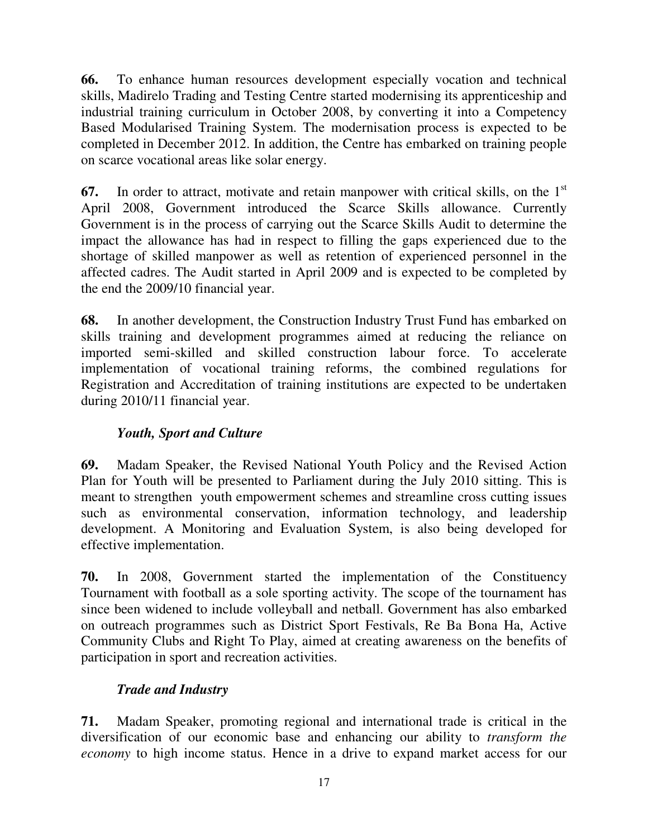**66.** To enhance human resources development especially vocation and technical skills, Madirelo Trading and Testing Centre started modernising its apprenticeship and industrial training curriculum in October 2008, by converting it into a Competency Based Modularised Training System. The modernisation process is expected to be completed in December 2012. In addition, the Centre has embarked on training people on scarce vocational areas like solar energy.

**67.** In order to attract, motivate and retain manpower with critical skills, on the 1<sup>st</sup> April 2008, Government introduced the Scarce Skills allowance. Currently Government is in the process of carrying out the Scarce Skills Audit to determine the impact the allowance has had in respect to filling the gaps experienced due to the shortage of skilled manpower as well as retention of experienced personnel in the affected cadres. The Audit started in April 2009 and is expected to be completed by the end the 2009/10 financial year.

**68.** In another development, the Construction Industry Trust Fund has embarked on skills training and development programmes aimed at reducing the reliance on imported semi-skilled and skilled construction labour force. To accelerate implementation of vocational training reforms, the combined regulations for Registration and Accreditation of training institutions are expected to be undertaken during 2010/11 financial year.

# *Youth, Sport and Culture*

**69.** Madam Speaker, the Revised National Youth Policy and the Revised Action Plan for Youth will be presented to Parliament during the July 2010 sitting. This is meant to strengthen youth empowerment schemes and streamline cross cutting issues such as environmental conservation, information technology, and leadership development. A Monitoring and Evaluation System, is also being developed for effective implementation.

**70.** In 2008, Government started the implementation of the Constituency Tournament with football as a sole sporting activity. The scope of the tournament has since been widened to include volleyball and netball. Government has also embarked on outreach programmes such as District Sport Festivals, Re Ba Bona Ha, Active Community Clubs and Right To Play, aimed at creating awareness on the benefits of participation in sport and recreation activities.

# *Trade and Industry*

**71.** Madam Speaker, promoting regional and international trade is critical in the diversification of our economic base and enhancing our ability to *transform the economy* to high income status. Hence in a drive to expand market access for our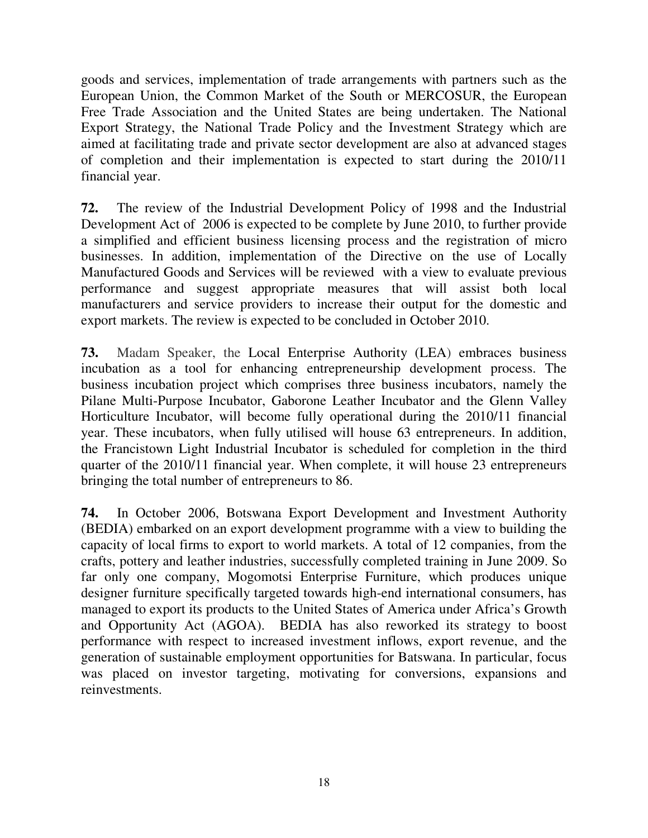goods and services, implementation of trade arrangements with partners such as the European Union, the Common Market of the South or MERCOSUR, the European Free Trade Association and the United States are being undertaken. The National Export Strategy, the National Trade Policy and the Investment Strategy which are aimed at facilitating trade and private sector development are also at advanced stages of completion and their implementation is expected to start during the 2010/11 financial year.

**72.** The review of the Industrial Development Policy of 1998 and the Industrial Development Act of 2006 is expected to be complete by June 2010, to further provide a simplified and efficient business licensing process and the registration of micro businesses. In addition, implementation of the Directive on the use of Locally Manufactured Goods and Services will be reviewed with a view to evaluate previous performance and suggest appropriate measures that will assist both local manufacturers and service providers to increase their output for the domestic and export markets. The review is expected to be concluded in October 2010.

**73.** Madam Speaker, the Local Enterprise Authority (LEA) embraces business incubation as a tool for enhancing entrepreneurship development process. The business incubation project which comprises three business incubators, namely the Pilane Multi-Purpose Incubator, Gaborone Leather Incubator and the Glenn Valley Horticulture Incubator, will become fully operational during the 2010/11 financial year. These incubators, when fully utilised will house 63 entrepreneurs. In addition, the Francistown Light Industrial Incubator is scheduled for completion in the third quarter of the 2010/11 financial year. When complete, it will house 23 entrepreneurs bringing the total number of entrepreneurs to 86.

**74.** In October 2006, Botswana Export Development and Investment Authority (BEDIA) embarked on an export development programme with a view to building the capacity of local firms to export to world markets. A total of 12 companies, from the crafts, pottery and leather industries, successfully completed training in June 2009. So far only one company, Mogomotsi Enterprise Furniture, which produces unique designer furniture specifically targeted towards high-end international consumers, has managed to export its products to the United States of America under Africa's Growth and Opportunity Act (AGOA). BEDIA has also reworked its strategy to boost performance with respect to increased investment inflows, export revenue, and the generation of sustainable employment opportunities for Batswana. In particular, focus was placed on investor targeting, motivating for conversions, expansions and reinvestments.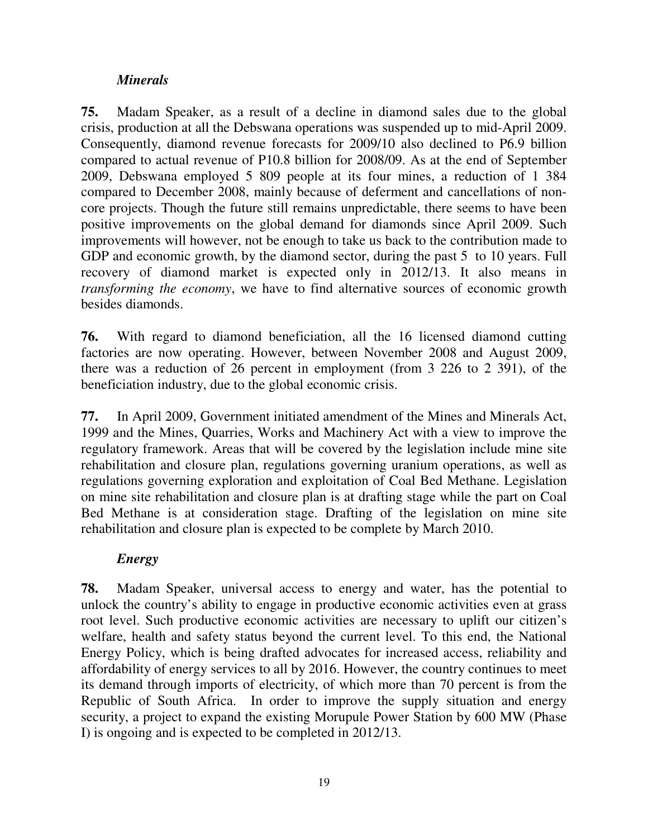# *Minerals*

**75.** Madam Speaker, as a result of a decline in diamond sales due to the global crisis, production at all the Debswana operations was suspended up to mid-April 2009. Consequently, diamond revenue forecasts for 2009/10 also declined to P6.9 billion compared to actual revenue of P10.8 billion for 2008/09. As at the end of September 2009, Debswana employed 5 809 people at its four mines, a reduction of 1 384 compared to December 2008, mainly because of deferment and cancellations of noncore projects. Though the future still remains unpredictable, there seems to have been positive improvements on the global demand for diamonds since April 2009. Such improvements will however, not be enough to take us back to the contribution made to GDP and economic growth, by the diamond sector, during the past 5 to 10 years. Full recovery of diamond market is expected only in 2012/13. It also means in *transforming the economy*, we have to find alternative sources of economic growth besides diamonds.

**76.** With regard to diamond beneficiation, all the 16 licensed diamond cutting factories are now operating. However, between November 2008 and August 2009, there was a reduction of 26 percent in employment (from 3 226 to 2 391), of the beneficiation industry, due to the global economic crisis.

**77.** In April 2009, Government initiated amendment of the Mines and Minerals Act, 1999 and the Mines, Quarries, Works and Machinery Act with a view to improve the regulatory framework. Areas that will be covered by the legislation include mine site rehabilitation and closure plan, regulations governing uranium operations, as well as regulations governing exploration and exploitation of Coal Bed Methane. Legislation on mine site rehabilitation and closure plan is at drafting stage while the part on Coal Bed Methane is at consideration stage. Drafting of the legislation on mine site rehabilitation and closure plan is expected to be complete by March 2010.

#### *Energy*

**78.** Madam Speaker, universal access to energy and water, has the potential to unlock the country's ability to engage in productive economic activities even at grass root level. Such productive economic activities are necessary to uplift our citizen's welfare, health and safety status beyond the current level. To this end, the National Energy Policy, which is being drafted advocates for increased access, reliability and affordability of energy services to all by 2016. However, the country continues to meet its demand through imports of electricity, of which more than 70 percent is from the Republic of South Africa. In order to improve the supply situation and energy security, a project to expand the existing Morupule Power Station by 600 MW (Phase I) is ongoing and is expected to be completed in 2012/13.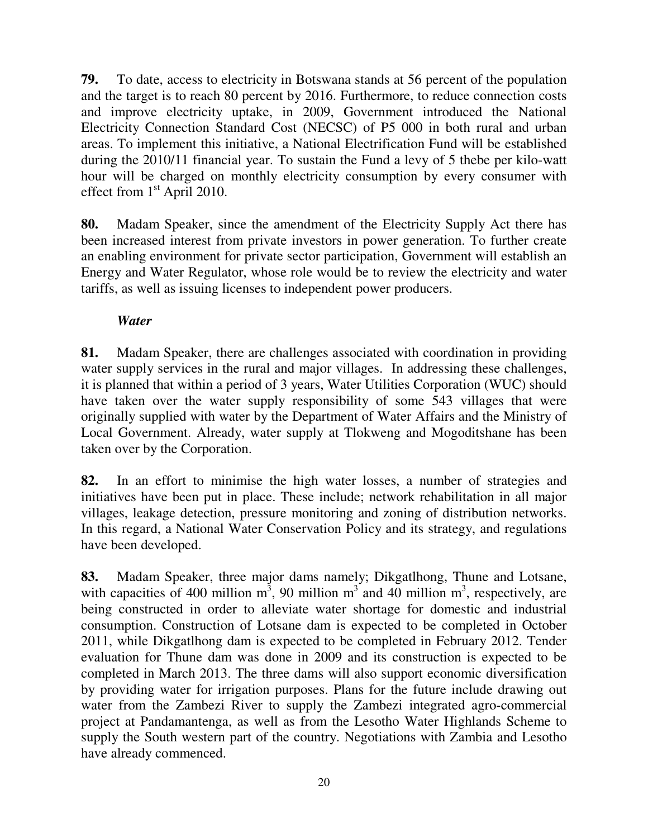**79.** To date, access to electricity in Botswana stands at 56 percent of the population and the target is to reach 80 percent by 2016. Furthermore, to reduce connection costs and improve electricity uptake, in 2009, Government introduced the National Electricity Connection Standard Cost (NECSC) of P5 000 in both rural and urban areas. To implement this initiative, a National Electrification Fund will be established during the 2010/11 financial year. To sustain the Fund a levy of 5 thebe per kilo-watt hour will be charged on monthly electricity consumption by every consumer with effect from 1<sup>st</sup> April 2010.

**80.** Madam Speaker, since the amendment of the Electricity Supply Act there has been increased interest from private investors in power generation. To further create an enabling environment for private sector participation, Government will establish an Energy and Water Regulator, whose role would be to review the electricity and water tariffs, as well as issuing licenses to independent power producers.

## *Water*

**81.** Madam Speaker, there are challenges associated with coordination in providing water supply services in the rural and major villages. In addressing these challenges, it is planned that within a period of 3 years, Water Utilities Corporation (WUC) should have taken over the water supply responsibility of some 543 villages that were originally supplied with water by the Department of Water Affairs and the Ministry of Local Government. Already, water supply at Tlokweng and Mogoditshane has been taken over by the Corporation.

**82.** In an effort to minimise the high water losses, a number of strategies and initiatives have been put in place. These include; network rehabilitation in all major villages, leakage detection, pressure monitoring and zoning of distribution networks. In this regard, a National Water Conservation Policy and its strategy, and regulations have been developed.

**83.** Madam Speaker, three major dams namely; Dikgatlhong, Thune and Lotsane, with capacities of 400 million  $m^3$ , 90 million  $m^3$  and 40 million  $m^3$ , respectively, are being constructed in order to alleviate water shortage for domestic and industrial consumption. Construction of Lotsane dam is expected to be completed in October 2011, while Dikgatlhong dam is expected to be completed in February 2012. Tender evaluation for Thune dam was done in 2009 and its construction is expected to be completed in March 2013. The three dams will also support economic diversification by providing water for irrigation purposes. Plans for the future include drawing out water from the Zambezi River to supply the Zambezi integrated agro-commercial project at Pandamantenga, as well as from the Lesotho Water Highlands Scheme to supply the South western part of the country. Negotiations with Zambia and Lesotho have already commenced.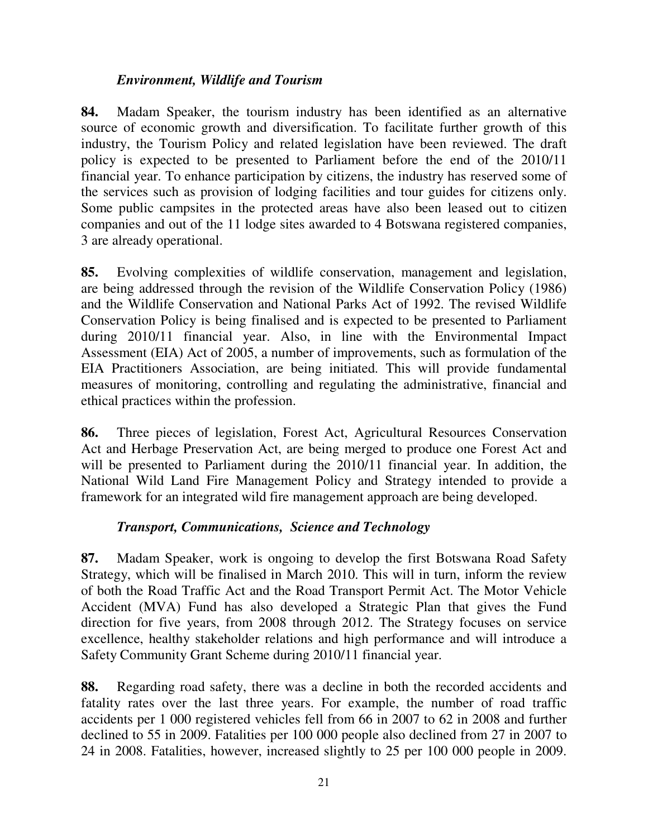#### *Environment, Wildlife and Tourism*

**84.** Madam Speaker, the tourism industry has been identified as an alternative source of economic growth and diversification. To facilitate further growth of this industry, the Tourism Policy and related legislation have been reviewed. The draft policy is expected to be presented to Parliament before the end of the 2010/11 financial year. To enhance participation by citizens, the industry has reserved some of the services such as provision of lodging facilities and tour guides for citizens only. Some public campsites in the protected areas have also been leased out to citizen companies and out of the 11 lodge sites awarded to 4 Botswana registered companies, 3 are already operational.

**85.** Evolving complexities of wildlife conservation, management and legislation, are being addressed through the revision of the Wildlife Conservation Policy (1986) and the Wildlife Conservation and National Parks Act of 1992. The revised Wildlife Conservation Policy is being finalised and is expected to be presented to Parliament during 2010/11 financial year. Also, in line with the Environmental Impact Assessment (EIA) Act of 2005, a number of improvements, such as formulation of the EIA Practitioners Association, are being initiated. This will provide fundamental measures of monitoring, controlling and regulating the administrative, financial and ethical practices within the profession.

**86.** Three pieces of legislation, Forest Act, Agricultural Resources Conservation Act and Herbage Preservation Act, are being merged to produce one Forest Act and will be presented to Parliament during the 2010/11 financial year. In addition, the National Wild Land Fire Management Policy and Strategy intended to provide a framework for an integrated wild fire management approach are being developed.

#### *Transport, Communications, Science and Technology*

**87.** Madam Speaker, work is ongoing to develop the first Botswana Road Safety Strategy, which will be finalised in March 2010. This will in turn, inform the review of both the Road Traffic Act and the Road Transport Permit Act. The Motor Vehicle Accident (MVA) Fund has also developed a Strategic Plan that gives the Fund direction for five years, from 2008 through 2012. The Strategy focuses on service excellence, healthy stakeholder relations and high performance and will introduce a Safety Community Grant Scheme during 2010/11 financial year.

**88.** Regarding road safety, there was a decline in both the recorded accidents and fatality rates over the last three years. For example, the number of road traffic accidents per 1 000 registered vehicles fell from 66 in 2007 to 62 in 2008 and further declined to 55 in 2009. Fatalities per 100 000 people also declined from 27 in 2007 to 24 in 2008. Fatalities, however, increased slightly to 25 per 100 000 people in 2009.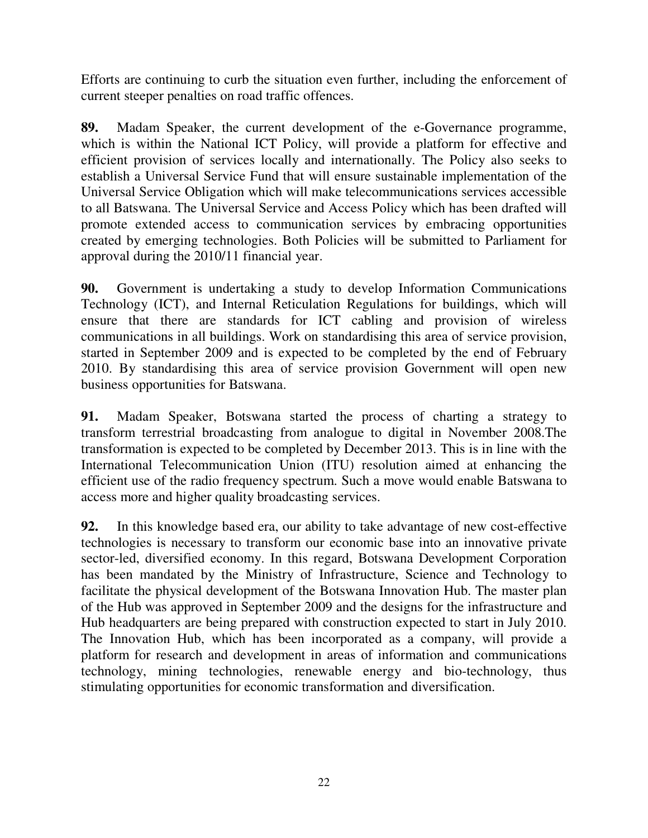Efforts are continuing to curb the situation even further, including the enforcement of current steeper penalties on road traffic offences.

**89.** Madam Speaker, the current development of the e-Governance programme, which is within the National ICT Policy, will provide a platform for effective and efficient provision of services locally and internationally. The Policy also seeks to establish a Universal Service Fund that will ensure sustainable implementation of the Universal Service Obligation which will make telecommunications services accessible to all Batswana. The Universal Service and Access Policy which has been drafted will promote extended access to communication services by embracing opportunities created by emerging technologies. Both Policies will be submitted to Parliament for approval during the 2010/11 financial year.

**90.** Government is undertaking a study to develop Information Communications Technology (ICT), and Internal Reticulation Regulations for buildings, which will ensure that there are standards for ICT cabling and provision of wireless communications in all buildings. Work on standardising this area of service provision, started in September 2009 and is expected to be completed by the end of February 2010. By standardising this area of service provision Government will open new business opportunities for Batswana.

**91.** Madam Speaker, Botswana started the process of charting a strategy to transform terrestrial broadcasting from analogue to digital in November 2008.The transformation is expected to be completed by December 2013. This is in line with the International Telecommunication Union (ITU) resolution aimed at enhancing the efficient use of the radio frequency spectrum. Such a move would enable Batswana to access more and higher quality broadcasting services.

**92.** In this knowledge based era, our ability to take advantage of new cost-effective technologies is necessary to transform our economic base into an innovative private sector-led, diversified economy. In this regard, Botswana Development Corporation has been mandated by the Ministry of Infrastructure, Science and Technology to facilitate the physical development of the Botswana Innovation Hub. The master plan of the Hub was approved in September 2009 and the designs for the infrastructure and Hub headquarters are being prepared with construction expected to start in July 2010. The Innovation Hub, which has been incorporated as a company, will provide a platform for research and development in areas of information and communications technology, mining technologies, renewable energy and bio-technology, thus stimulating opportunities for economic transformation and diversification.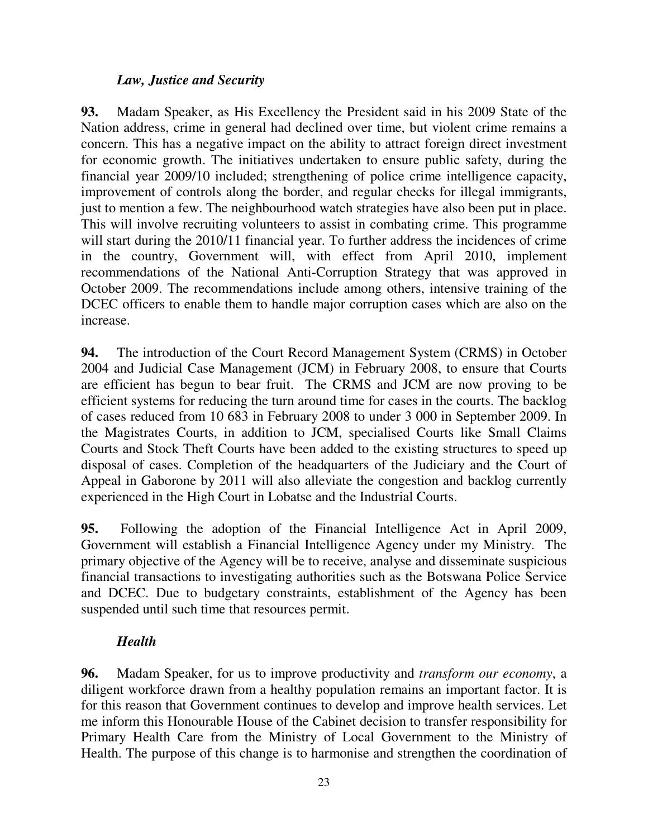# *Law, Justice and Security*

**93.** Madam Speaker, as His Excellency the President said in his 2009 State of the Nation address, crime in general had declined over time, but violent crime remains a concern. This has a negative impact on the ability to attract foreign direct investment for economic growth. The initiatives undertaken to ensure public safety, during the financial year 2009/10 included; strengthening of police crime intelligence capacity, improvement of controls along the border, and regular checks for illegal immigrants, just to mention a few. The neighbourhood watch strategies have also been put in place. This will involve recruiting volunteers to assist in combating crime. This programme will start during the 2010/11 financial year. To further address the incidences of crime in the country, Government will, with effect from April 2010, implement recommendations of the National Anti-Corruption Strategy that was approved in October 2009. The recommendations include among others, intensive training of the DCEC officers to enable them to handle major corruption cases which are also on the increase.

**94.** The introduction of the Court Record Management System (CRMS) in October 2004 and Judicial Case Management (JCM) in February 2008, to ensure that Courts are efficient has begun to bear fruit. The CRMS and JCM are now proving to be efficient systems for reducing the turn around time for cases in the courts. The backlog of cases reduced from 10 683 in February 2008 to under 3 000 in September 2009. In the Magistrates Courts, in addition to JCM, specialised Courts like Small Claims Courts and Stock Theft Courts have been added to the existing structures to speed up disposal of cases. Completion of the headquarters of the Judiciary and the Court of Appeal in Gaborone by 2011 will also alleviate the congestion and backlog currently experienced in the High Court in Lobatse and the Industrial Courts.

**95.** Following the adoption of the Financial Intelligence Act in April 2009, Government will establish a Financial Intelligence Agency under my Ministry. The primary objective of the Agency will be to receive, analyse and disseminate suspicious financial transactions to investigating authorities such as the Botswana Police Service and DCEC. Due to budgetary constraints, establishment of the Agency has been suspended until such time that resources permit.

#### *Health*

**96.** Madam Speaker, for us to improve productivity and *transform our economy*, a diligent workforce drawn from a healthy population remains an important factor. It is for this reason that Government continues to develop and improve health services. Let me inform this Honourable House of the Cabinet decision to transfer responsibility for Primary Health Care from the Ministry of Local Government to the Ministry of Health. The purpose of this change is to harmonise and strengthen the coordination of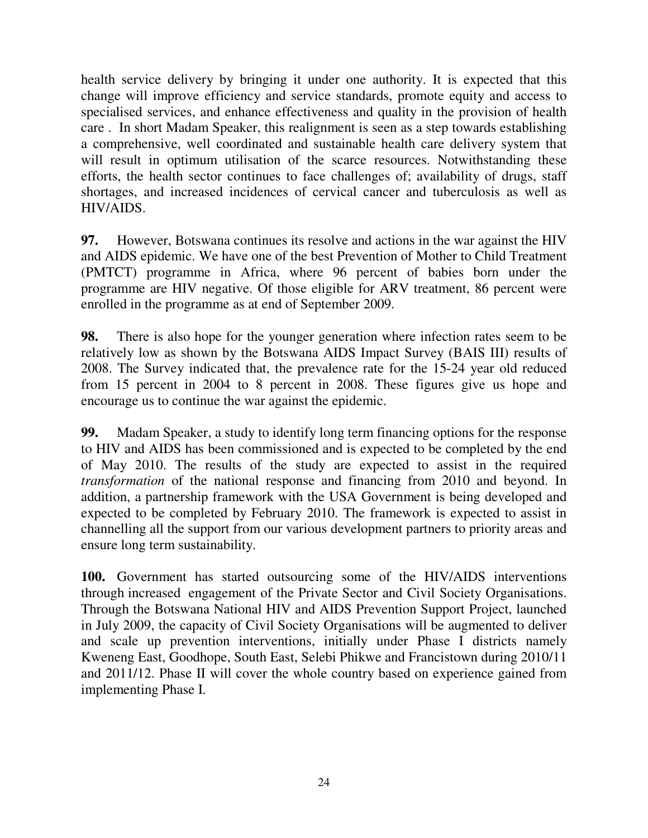health service delivery by bringing it under one authority. It is expected that this change will improve efficiency and service standards, promote equity and access to specialised services, and enhance effectiveness and quality in the provision of health care . In short Madam Speaker, this realignment is seen as a step towards establishing a comprehensive, well coordinated and sustainable health care delivery system that will result in optimum utilisation of the scarce resources. Notwithstanding these efforts, the health sector continues to face challenges of; availability of drugs, staff shortages, and increased incidences of cervical cancer and tuberculosis as well as HIV/AIDS.

**97.** However, Botswana continues its resolve and actions in the war against the HIV and AIDS epidemic. We have one of the best Prevention of Mother to Child Treatment (PMTCT) programme in Africa, where 96 percent of babies born under the programme are HIV negative. Of those eligible for ARV treatment, 86 percent were enrolled in the programme as at end of September 2009.

**98.** There is also hope for the younger generation where infection rates seem to be relatively low as shown by the Botswana AIDS Impact Survey (BAIS III) results of 2008. The Survey indicated that, the prevalence rate for the 15-24 year old reduced from 15 percent in 2004 to 8 percent in 2008. These figures give us hope and encourage us to continue the war against the epidemic.

**99.** Madam Speaker, a study to identify long term financing options for the response to HIV and AIDS has been commissioned and is expected to be completed by the end of May 2010. The results of the study are expected to assist in the required *transformation* of the national response and financing from 2010 and beyond. In addition, a partnership framework with the USA Government is being developed and expected to be completed by February 2010. The framework is expected to assist in channelling all the support from our various development partners to priority areas and ensure long term sustainability.

**100.** Government has started outsourcing some of the HIV/AIDS interventions through increased engagement of the Private Sector and Civil Society Organisations. Through the Botswana National HIV and AIDS Prevention Support Project, launched in July 2009, the capacity of Civil Society Organisations will be augmented to deliver and scale up prevention interventions, initially under Phase I districts namely Kweneng East, Goodhope, South East, Selebi Phikwe and Francistown during 2010/11 and 2011/12. Phase II will cover the whole country based on experience gained from implementing Phase I.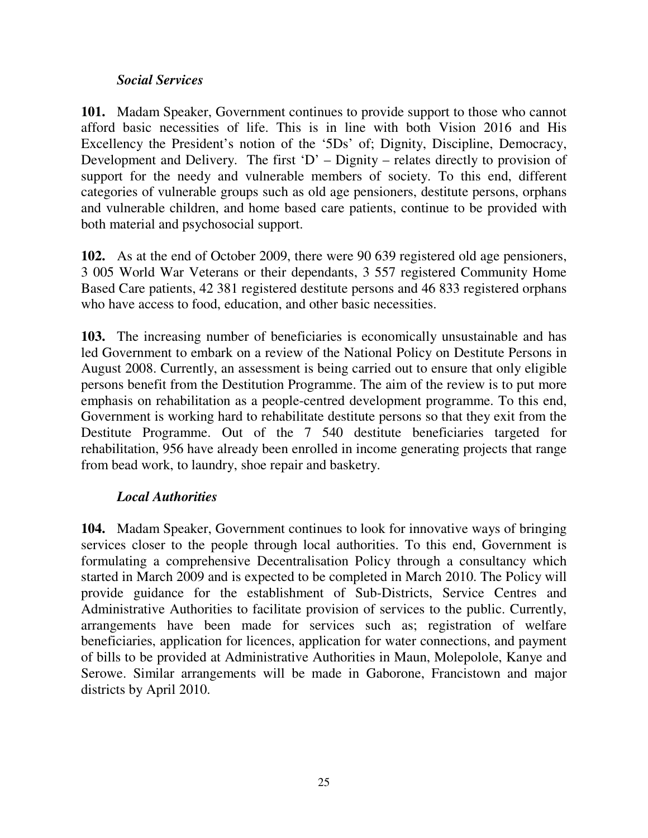## *Social Services*

**101.** Madam Speaker, Government continues to provide support to those who cannot afford basic necessities of life. This is in line with both Vision 2016 and His Excellency the President's notion of the '5Ds' of; Dignity, Discipline, Democracy, Development and Delivery. The first  $D'$  – Dignity – relates directly to provision of support for the needy and vulnerable members of society. To this end, different categories of vulnerable groups such as old age pensioners, destitute persons, orphans and vulnerable children, and home based care patients, continue to be provided with both material and psychosocial support.

**102.** As at the end of October 2009, there were 90 639 registered old age pensioners, 3 005 World War Veterans or their dependants, 3 557 registered Community Home Based Care patients, 42 381 registered destitute persons and 46 833 registered orphans who have access to food, education, and other basic necessities.

**103.** The increasing number of beneficiaries is economically unsustainable and has led Government to embark on a review of the National Policy on Destitute Persons in August 2008. Currently, an assessment is being carried out to ensure that only eligible persons benefit from the Destitution Programme. The aim of the review is to put more emphasis on rehabilitation as a people-centred development programme. To this end, Government is working hard to rehabilitate destitute persons so that they exit from the Destitute Programme. Out of the 7 540 destitute beneficiaries targeted for rehabilitation, 956 have already been enrolled in income generating projects that range from bead work, to laundry, shoe repair and basketry.

# *Local Authorities*

**104.** Madam Speaker, Government continues to look for innovative ways of bringing services closer to the people through local authorities. To this end, Government is formulating a comprehensive Decentralisation Policy through a consultancy which started in March 2009 and is expected to be completed in March 2010. The Policy will provide guidance for the establishment of Sub-Districts, Service Centres and Administrative Authorities to facilitate provision of services to the public. Currently, arrangements have been made for services such as; registration of welfare beneficiaries, application for licences, application for water connections, and payment of bills to be provided at Administrative Authorities in Maun, Molepolole, Kanye and Serowe. Similar arrangements will be made in Gaborone, Francistown and major districts by April 2010.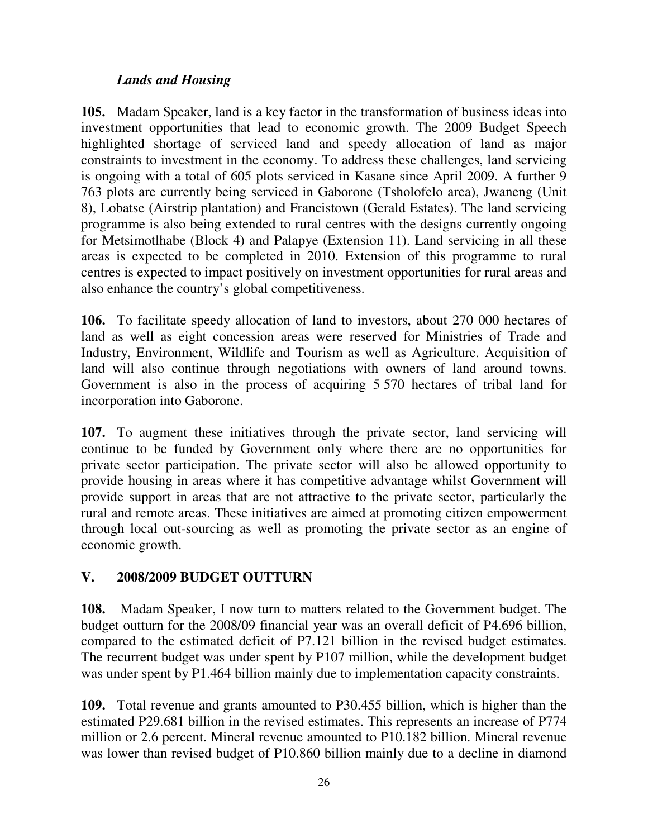# *Lands and Housing*

**105.** Madam Speaker, land is a key factor in the transformation of business ideas into investment opportunities that lead to economic growth. The 2009 Budget Speech highlighted shortage of serviced land and speedy allocation of land as major constraints to investment in the economy. To address these challenges, land servicing is ongoing with a total of 605 plots serviced in Kasane since April 2009. A further 9 763 plots are currently being serviced in Gaborone (Tsholofelo area), Jwaneng (Unit 8), Lobatse (Airstrip plantation) and Francistown (Gerald Estates). The land servicing programme is also being extended to rural centres with the designs currently ongoing for Metsimotlhabe (Block 4) and Palapye (Extension 11). Land servicing in all these areas is expected to be completed in 2010. Extension of this programme to rural centres is expected to impact positively on investment opportunities for rural areas and also enhance the country's global competitiveness.

**106.** To facilitate speedy allocation of land to investors, about 270 000 hectares of land as well as eight concession areas were reserved for Ministries of Trade and Industry, Environment, Wildlife and Tourism as well as Agriculture. Acquisition of land will also continue through negotiations with owners of land around towns. Government is also in the process of acquiring 5 570 hectares of tribal land for incorporation into Gaborone.

**107.** To augment these initiatives through the private sector, land servicing will continue to be funded by Government only where there are no opportunities for private sector participation. The private sector will also be allowed opportunity to provide housing in areas where it has competitive advantage whilst Government will provide support in areas that are not attractive to the private sector, particularly the rural and remote areas. These initiatives are aimed at promoting citizen empowerment through local out-sourcing as well as promoting the private sector as an engine of economic growth.

# **V. 2008/2009 BUDGET OUTTURN**

**108.** Madam Speaker, I now turn to matters related to the Government budget. The budget outturn for the 2008/09 financial year was an overall deficit of P4.696 billion, compared to the estimated deficit of P7.121 billion in the revised budget estimates. The recurrent budget was under spent by P107 million, while the development budget was under spent by P1.464 billion mainly due to implementation capacity constraints.

**109.** Total revenue and grants amounted to P30.455 billion, which is higher than the estimated P29.681 billion in the revised estimates. This represents an increase of P774 million or 2.6 percent. Mineral revenue amounted to P10.182 billion. Mineral revenue was lower than revised budget of P10.860 billion mainly due to a decline in diamond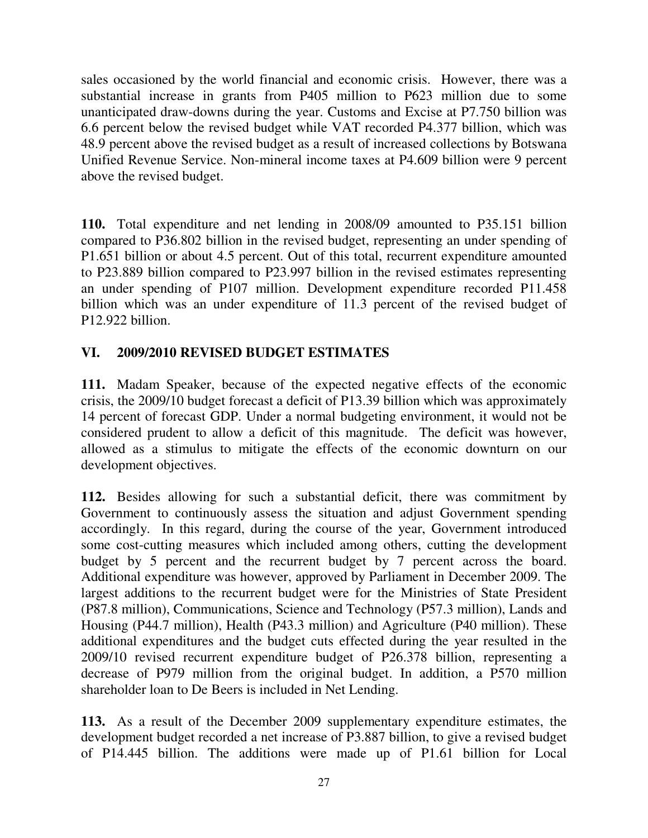sales occasioned by the world financial and economic crisis. However, there was a substantial increase in grants from P405 million to P623 million due to some unanticipated draw-downs during the year. Customs and Excise at P7.750 billion was 6.6 percent below the revised budget while VAT recorded P4.377 billion, which was 48.9 percent above the revised budget as a result of increased collections by Botswana Unified Revenue Service. Non-mineral income taxes at P4.609 billion were 9 percent above the revised budget.

**110.** Total expenditure and net lending in 2008/09 amounted to P35.151 billion compared to P36.802 billion in the revised budget, representing an under spending of P1.651 billion or about 4.5 percent. Out of this total, recurrent expenditure amounted to P23.889 billion compared to P23.997 billion in the revised estimates representing an under spending of P107 million. Development expenditure recorded P11.458 billion which was an under expenditure of 11.3 percent of the revised budget of P12.922 billion.

# **VI. 2009/2010 REVISED BUDGET ESTIMATES**

**111.** Madam Speaker, because of the expected negative effects of the economic crisis, the 2009/10 budget forecast a deficit of P13.39 billion which was approximately 14 percent of forecast GDP. Under a normal budgeting environment, it would not be considered prudent to allow a deficit of this magnitude. The deficit was however, allowed as a stimulus to mitigate the effects of the economic downturn on our development objectives.

**112.** Besides allowing for such a substantial deficit, there was commitment by Government to continuously assess the situation and adjust Government spending accordingly. In this regard, during the course of the year, Government introduced some cost-cutting measures which included among others, cutting the development budget by 5 percent and the recurrent budget by 7 percent across the board. Additional expenditure was however, approved by Parliament in December 2009. The largest additions to the recurrent budget were for the Ministries of State President (P87.8 million), Communications, Science and Technology (P57.3 million), Lands and Housing (P44.7 million), Health (P43.3 million) and Agriculture (P40 million). These additional expenditures and the budget cuts effected during the year resulted in the 2009/10 revised recurrent expenditure budget of P26.378 billion, representing a decrease of P979 million from the original budget. In addition, a P570 million shareholder loan to De Beers is included in Net Lending.

**113.** As a result of the December 2009 supplementary expenditure estimates, the development budget recorded a net increase of P3.887 billion, to give a revised budget of P14.445 billion. The additions were made up of P1.61 billion for Local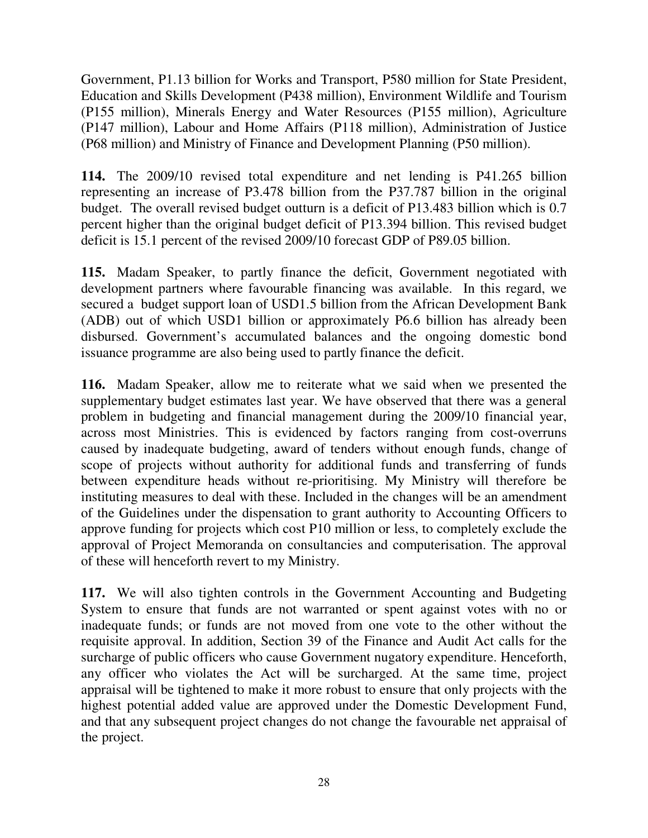Government, P1.13 billion for Works and Transport, P580 million for State President, Education and Skills Development (P438 million), Environment Wildlife and Tourism (P155 million), Minerals Energy and Water Resources (P155 million), Agriculture (P147 million), Labour and Home Affairs (P118 million), Administration of Justice (P68 million) and Ministry of Finance and Development Planning (P50 million).

**114.** The 2009/10 revised total expenditure and net lending is P41.265 billion representing an increase of P3.478 billion from the P37.787 billion in the original budget. The overall revised budget outturn is a deficit of P13.483 billion which is 0.7 percent higher than the original budget deficit of P13.394 billion. This revised budget deficit is 15.1 percent of the revised 2009/10 forecast GDP of P89.05 billion.

**115.** Madam Speaker, to partly finance the deficit, Government negotiated with development partners where favourable financing was available. In this regard, we secured a budget support loan of USD1.5 billion from the African Development Bank (ADB) out of which USD1 billion or approximately P6.6 billion has already been disbursed. Government's accumulated balances and the ongoing domestic bond issuance programme are also being used to partly finance the deficit.

**116.** Madam Speaker, allow me to reiterate what we said when we presented the supplementary budget estimates last year. We have observed that there was a general problem in budgeting and financial management during the 2009/10 financial year, across most Ministries. This is evidenced by factors ranging from cost-overruns caused by inadequate budgeting, award of tenders without enough funds, change of scope of projects without authority for additional funds and transferring of funds between expenditure heads without re-prioritising. My Ministry will therefore be instituting measures to deal with these. Included in the changes will be an amendment of the Guidelines under the dispensation to grant authority to Accounting Officers to approve funding for projects which cost P10 million or less, to completely exclude the approval of Project Memoranda on consultancies and computerisation. The approval of these will henceforth revert to my Ministry.

**117.** We will also tighten controls in the Government Accounting and Budgeting System to ensure that funds are not warranted or spent against votes with no or inadequate funds; or funds are not moved from one vote to the other without the requisite approval. In addition, Section 39 of the Finance and Audit Act calls for the surcharge of public officers who cause Government nugatory expenditure. Henceforth, any officer who violates the Act will be surcharged. At the same time, project appraisal will be tightened to make it more robust to ensure that only projects with the highest potential added value are approved under the Domestic Development Fund, and that any subsequent project changes do not change the favourable net appraisal of the project.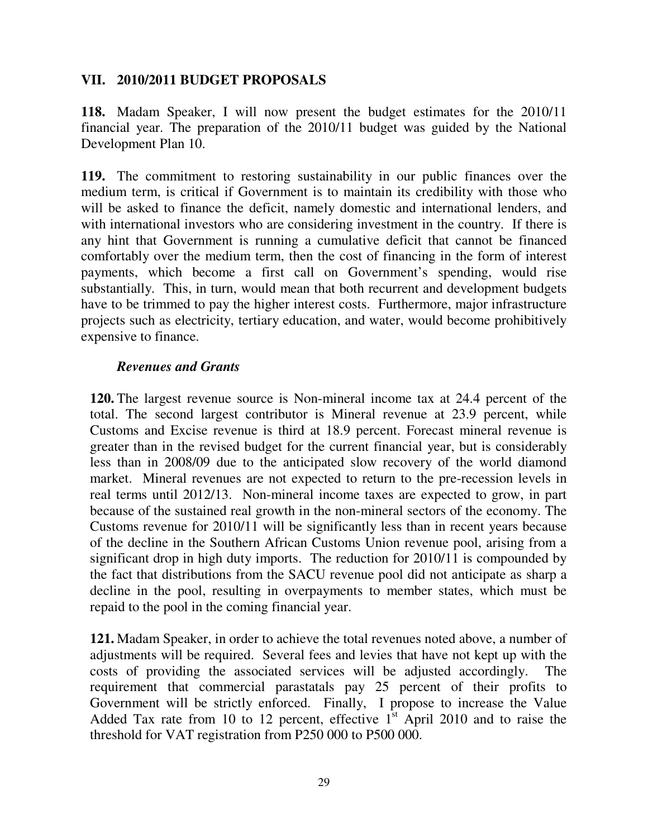## **VII. 2010/2011 BUDGET PROPOSALS**

**118.** Madam Speaker, I will now present the budget estimates for the 2010/11 financial year. The preparation of the 2010/11 budget was guided by the National Development Plan 10.

**119.** The commitment to restoring sustainability in our public finances over the medium term, is critical if Government is to maintain its credibility with those who will be asked to finance the deficit, namely domestic and international lenders, and with international investors who are considering investment in the country. If there is any hint that Government is running a cumulative deficit that cannot be financed comfortably over the medium term, then the cost of financing in the form of interest payments, which become a first call on Government's spending, would rise substantially. This, in turn, would mean that both recurrent and development budgets have to be trimmed to pay the higher interest costs. Furthermore, major infrastructure projects such as electricity, tertiary education, and water, would become prohibitively expensive to finance.

#### *Revenues and Grants*

**120.** The largest revenue source is Non-mineral income tax at 24.4 percent of the total. The second largest contributor is Mineral revenue at 23.9 percent, while Customs and Excise revenue is third at 18.9 percent. Forecast mineral revenue is greater than in the revised budget for the current financial year, but is considerably less than in 2008/09 due to the anticipated slow recovery of the world diamond market. Mineral revenues are not expected to return to the pre-recession levels in real terms until 2012/13. Non-mineral income taxes are expected to grow, in part because of the sustained real growth in the non-mineral sectors of the economy. The Customs revenue for 2010/11 will be significantly less than in recent years because of the decline in the Southern African Customs Union revenue pool, arising from a significant drop in high duty imports. The reduction for 2010/11 is compounded by the fact that distributions from the SACU revenue pool did not anticipate as sharp a decline in the pool, resulting in overpayments to member states, which must be repaid to the pool in the coming financial year.

**121.** Madam Speaker, in order to achieve the total revenues noted above, a number of adjustments will be required. Several fees and levies that have not kept up with the costs of providing the associated services will be adjusted accordingly. The requirement that commercial parastatals pay 25 percent of their profits to Government will be strictly enforced. Finally, I propose to increase the Value Added Tax rate from 10 to 12 percent, effective  $1<sup>st</sup>$  April 2010 and to raise the threshold for VAT registration from P250 000 to P500 000.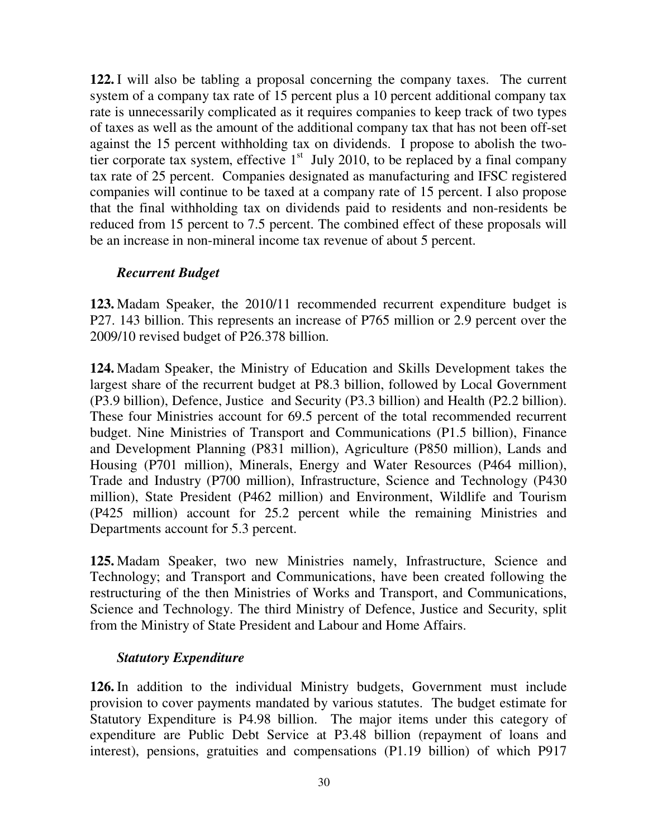**122.** I will also be tabling a proposal concerning the company taxes. The current system of a company tax rate of 15 percent plus a 10 percent additional company tax rate is unnecessarily complicated as it requires companies to keep track of two types of taxes as well as the amount of the additional company tax that has not been off-set against the 15 percent withholding tax on dividends. I propose to abolish the twotier corporate tax system, effective  $1<sup>st</sup>$  July 2010, to be replaced by a final company tax rate of 25 percent. Companies designated as manufacturing and IFSC registered companies will continue to be taxed at a company rate of 15 percent. I also propose that the final withholding tax on dividends paid to residents and non-residents be reduced from 15 percent to 7.5 percent. The combined effect of these proposals will be an increase in non-mineral income tax revenue of about 5 percent.

## *Recurrent Budget*

**123.** Madam Speaker, the 2010/11 recommended recurrent expenditure budget is P27. 143 billion. This represents an increase of P765 million or 2.9 percent over the 2009/10 revised budget of P26.378 billion.

**124.** Madam Speaker, the Ministry of Education and Skills Development takes the largest share of the recurrent budget at P8.3 billion, followed by Local Government (P3.9 billion), Defence, Justice and Security (P3.3 billion) and Health (P2.2 billion). These four Ministries account for 69.5 percent of the total recommended recurrent budget. Nine Ministries of Transport and Communications (P1.5 billion), Finance and Development Planning (P831 million), Agriculture (P850 million), Lands and Housing (P701 million), Minerals, Energy and Water Resources (P464 million), Trade and Industry (P700 million), Infrastructure, Science and Technology (P430 million), State President (P462 million) and Environment, Wildlife and Tourism (P425 million) account for 25.2 percent while the remaining Ministries and Departments account for 5.3 percent.

**125.** Madam Speaker, two new Ministries namely, Infrastructure, Science and Technology; and Transport and Communications, have been created following the restructuring of the then Ministries of Works and Transport, and Communications, Science and Technology. The third Ministry of Defence, Justice and Security, split from the Ministry of State President and Labour and Home Affairs.

#### *Statutory Expenditure*

**126.** In addition to the individual Ministry budgets, Government must include provision to cover payments mandated by various statutes. The budget estimate for Statutory Expenditure is P4.98 billion. The major items under this category of expenditure are Public Debt Service at P3.48 billion (repayment of loans and interest), pensions, gratuities and compensations (P1.19 billion) of which P917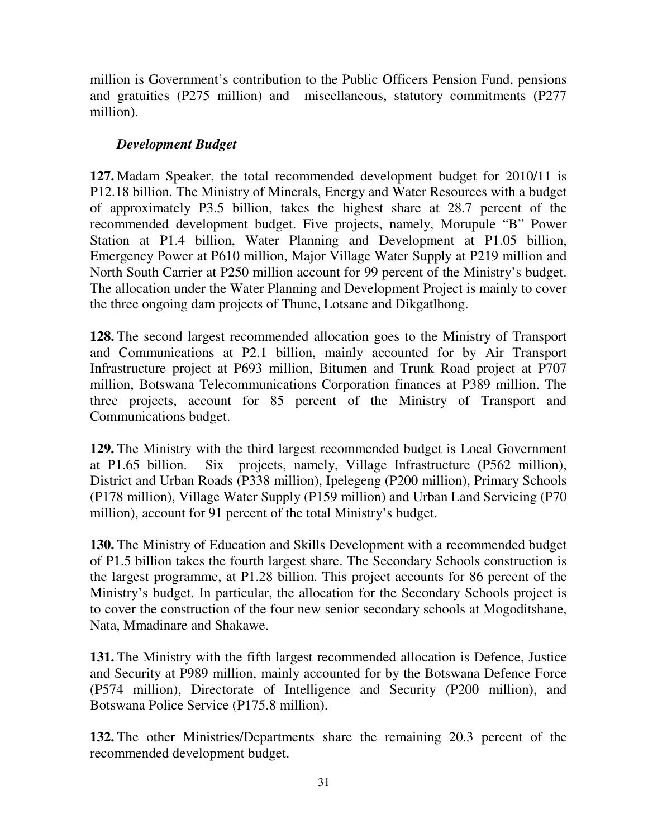million is Government's contribution to the Public Officers Pension Fund, pensions and gratuities (P275 million) and miscellaneous, statutory commitments (P277 million).

## *Development Budget*

**127.** Madam Speaker, the total recommended development budget for 2010/11 is P12.18 billion. The Ministry of Minerals, Energy and Water Resources with a budget of approximately P3.5 billion, takes the highest share at 28.7 percent of the recommended development budget. Five projects, namely, Morupule "B" Power Station at P1.4 billion, Water Planning and Development at P1.05 billion, Emergency Power at P610 million, Major Village Water Supply at P219 million and North South Carrier at P250 million account for 99 percent of the Ministry's budget. The allocation under the Water Planning and Development Project is mainly to cover the three ongoing dam projects of Thune, Lotsane and Dikgatlhong.

**128.** The second largest recommended allocation goes to the Ministry of Transport and Communications at P2.1 billion, mainly accounted for by Air Transport Infrastructure project at P693 million, Bitumen and Trunk Road project at P707 million, Botswana Telecommunications Corporation finances at P389 million. The three projects, account for 85 percent of the Ministry of Transport and Communications budget.

**129.** The Ministry with the third largest recommended budget is Local Government at P1.65 billion. Six projects, namely, Village Infrastructure (P562 million), District and Urban Roads (P338 million), Ipelegeng (P200 million), Primary Schools (P178 million), Village Water Supply (P159 million) and Urban Land Servicing (P70 million), account for 91 percent of the total Ministry's budget.

**130.** The Ministry of Education and Skills Development with a recommended budget of P1.5 billion takes the fourth largest share. The Secondary Schools construction is the largest programme, at P1.28 billion. This project accounts for 86 percent of the Ministry's budget. In particular, the allocation for the Secondary Schools project is to cover the construction of the four new senior secondary schools at Mogoditshane, Nata, Mmadinare and Shakawe.

**131.** The Ministry with the fifth largest recommended allocation is Defence, Justice and Security at P989 million, mainly accounted for by the Botswana Defence Force (P574 million), Directorate of Intelligence and Security (P200 million), and Botswana Police Service (P175.8 million).

**132.** The other Ministries/Departments share the remaining 20.3 percent of the recommended development budget.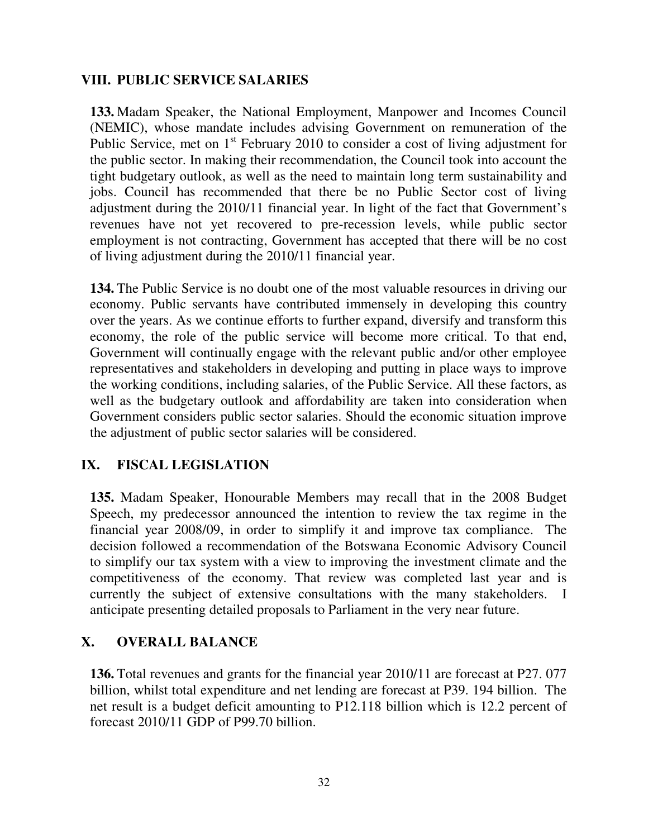## **VIII. PUBLIC SERVICE SALARIES**

**133.** Madam Speaker, the National Employment, Manpower and Incomes Council (NEMIC), whose mandate includes advising Government on remuneration of the Public Service, met on 1<sup>st</sup> February 2010 to consider a cost of living adjustment for the public sector. In making their recommendation, the Council took into account the tight budgetary outlook, as well as the need to maintain long term sustainability and jobs. Council has recommended that there be no Public Sector cost of living adjustment during the 2010/11 financial year. In light of the fact that Government's revenues have not yet recovered to pre-recession levels, while public sector employment is not contracting, Government has accepted that there will be no cost of living adjustment during the 2010/11 financial year.

**134.** The Public Service is no doubt one of the most valuable resources in driving our economy. Public servants have contributed immensely in developing this country over the years. As we continue efforts to further expand, diversify and transform this economy, the role of the public service will become more critical. To that end, Government will continually engage with the relevant public and/or other employee representatives and stakeholders in developing and putting in place ways to improve the working conditions, including salaries, of the Public Service. All these factors, as well as the budgetary outlook and affordability are taken into consideration when Government considers public sector salaries. Should the economic situation improve the adjustment of public sector salaries will be considered.

#### **IX. FISCAL LEGISLATION**

**135.** Madam Speaker, Honourable Members may recall that in the 2008 Budget Speech, my predecessor announced the intention to review the tax regime in the financial year 2008/09, in order to simplify it and improve tax compliance. The decision followed a recommendation of the Botswana Economic Advisory Council to simplify our tax system with a view to improving the investment climate and the competitiveness of the economy. That review was completed last year and is currently the subject of extensive consultations with the many stakeholders. I anticipate presenting detailed proposals to Parliament in the very near future.

# **X. OVERALL BALANCE**

**136.** Total revenues and grants for the financial year 2010/11 are forecast at P27. 077 billion, whilst total expenditure and net lending are forecast at P39. 194 billion. The net result is a budget deficit amounting to P12.118 billion which is 12.2 percent of forecast 2010/11 GDP of P99.70 billion.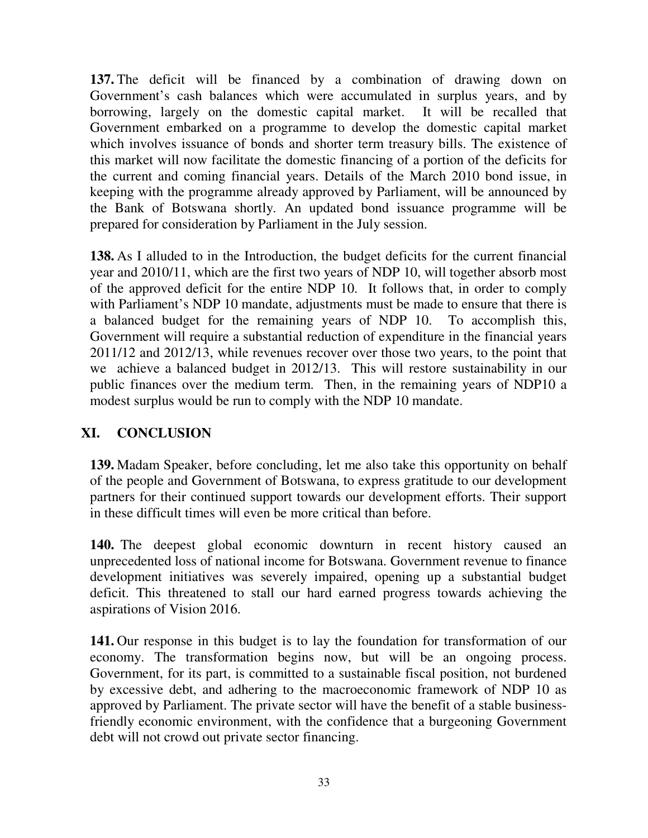**137.** The deficit will be financed by a combination of drawing down on Government's cash balances which were accumulated in surplus years, and by borrowing, largely on the domestic capital market. It will be recalled that Government embarked on a programme to develop the domestic capital market which involves issuance of bonds and shorter term treasury bills. The existence of this market will now facilitate the domestic financing of a portion of the deficits for the current and coming financial years. Details of the March 2010 bond issue, in keeping with the programme already approved by Parliament, will be announced by the Bank of Botswana shortly. An updated bond issuance programme will be prepared for consideration by Parliament in the July session.

**138.** As I alluded to in the Introduction, the budget deficits for the current financial year and 2010/11, which are the first two years of NDP 10, will together absorb most of the approved deficit for the entire NDP 10. It follows that, in order to comply with Parliament's NDP 10 mandate, adjustments must be made to ensure that there is a balanced budget for the remaining years of NDP 10. To accomplish this, Government will require a substantial reduction of expenditure in the financial years 2011/12 and 2012/13, while revenues recover over those two years, to the point that we achieve a balanced budget in 2012/13. This will restore sustainability in our public finances over the medium term. Then, in the remaining years of NDP10 a modest surplus would be run to comply with the NDP 10 mandate.

# **XI. CONCLUSION**

**139.** Madam Speaker, before concluding, let me also take this opportunity on behalf of the people and Government of Botswana, to express gratitude to our development partners for their continued support towards our development efforts. Their support in these difficult times will even be more critical than before.

**140.** The deepest global economic downturn in recent history caused an unprecedented loss of national income for Botswana. Government revenue to finance development initiatives was severely impaired, opening up a substantial budget deficit. This threatened to stall our hard earned progress towards achieving the aspirations of Vision 2016.

**141.** Our response in this budget is to lay the foundation for transformation of our economy. The transformation begins now, but will be an ongoing process. Government, for its part, is committed to a sustainable fiscal position, not burdened by excessive debt, and adhering to the macroeconomic framework of NDP 10 as approved by Parliament. The private sector will have the benefit of a stable businessfriendly economic environment, with the confidence that a burgeoning Government debt will not crowd out private sector financing.